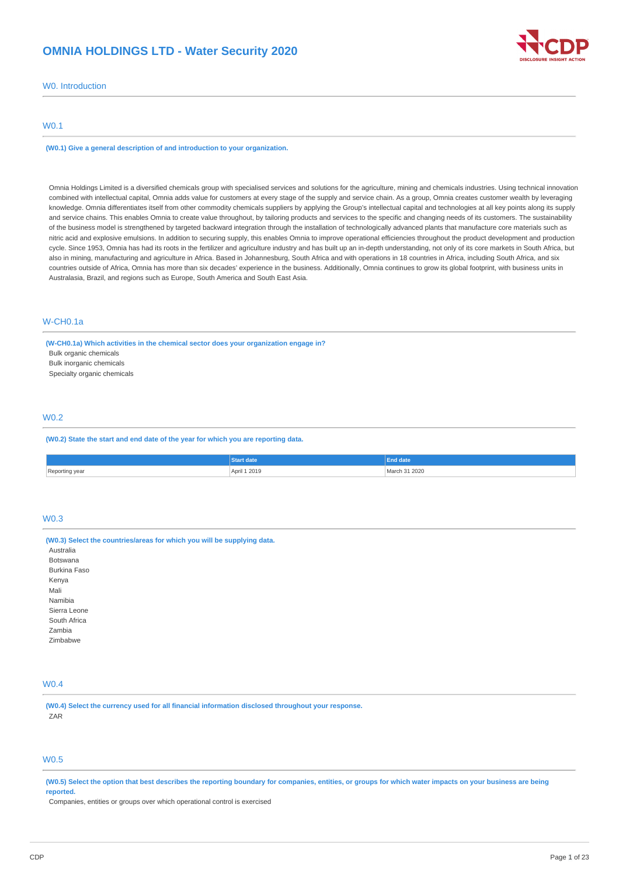# **OMNIA HOLDINGS LTD - Water Security 2020**



W0. Introduction

# W0.1

**(W0.1) Give a general description of and introduction to your organization.**

Omnia Holdings Limited is a diversified chemicals group with specialised services and solutions for the agriculture, mining and chemicals industries. Using technical innovation combined with intellectual capital, Omnia adds value for customers at every stage of the supply and service chain. As a group, Omnia creates customer wealth by leveraging knowledge. Omnia differentiates itself from other commodity chemicals suppliers by applying the Group's intellectual capital and technologies at all key points along its supply and service chains. This enables Omnia to create value throughout, by tailoring products and services to the specific and changing needs of its customers. The sustainability of the business model is strengthened by targeted backward integration through the installation of technologically advanced plants that manufacture core materials such as nitric acid and explosive emulsions. In addition to securing supply, this enables Omnia to improve operational efficiencies throughout the product development and production cycle. Since 1953, Omnia has had its roots in the fertilizer and agriculture industry and has built up an in-depth understanding, not only of its core markets in South Africa, but also in mining, manufacturing and agriculture in Africa. Based in Johannesburg, South Africa and with operations in 18 countries in Africa, including South Africa, and six countries outside of Africa, Omnia has more than six decades' experience in the business. Additionally, Omnia continues to grow its global footprint, with business units in Australasia, Brazil, and regions such as Europe, South America and South East Asia.

# W-CH0.1a

**(W-CH0.1a) Which activities in the chemical sector does your organization engage in?**

Bulk organic chemicals

Bulk inorganic chemicals

Specialty organic chemicals

# W0.2

**(W0.2) State the start and end date of the year for which you are reporting data.**

|                | <b>Start date</b> | End date      |
|----------------|-------------------|---------------|
| Renorting year |                   |               |
| yea            | April 1 2019      | March 31 2020 |

# W0.3

**(W0.3) Select the countries/areas for which you will be supplying data.** Australia Botswana Burkina Faso Kenya Mali Namibia Sierra Leone South Africa Zambia Zimbabwe

# W0.4

**(W0.4) Select the currency used for all financial information disclosed throughout your response.** ZAR

# W0.5

(W0.5) Select the option that best describes the reporting boundary for companies, entities, or groups for which water impacts on your business are being **reported.**

Companies, entities or groups over which operational control is exercised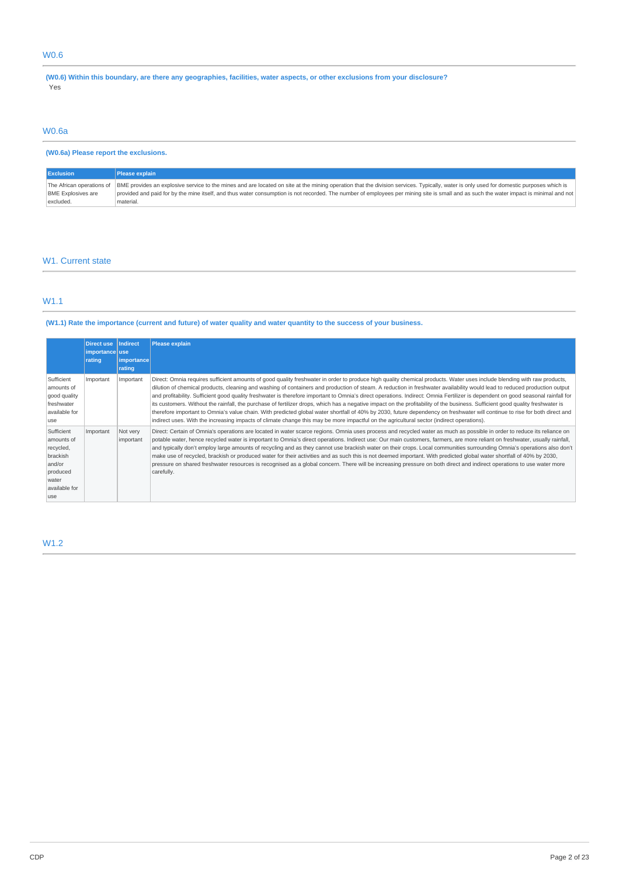# W0.6

(W0.6) Within this boundary, are there any geographies, facilities, water aspects, or other exclusions from your disclosure? Yes

# W0.6a

# **(W0.6a) Please report the exclusions.**

| <b>Exclusion</b>          | Please explain                                                                                                                                                                                                                                                                                                                                                                                              |
|---------------------------|-------------------------------------------------------------------------------------------------------------------------------------------------------------------------------------------------------------------------------------------------------------------------------------------------------------------------------------------------------------------------------------------------------------|
| <b>BME Explosives are</b> | The African operations of BME provides an explosive service to the mines and are located on site at the mining operation that the division services. Typically, water is only used for domestic purposes which is<br>provided and paid for by the mine itself, and thus water consumption is not recorded. The number of employees per mining site is small and as such the water impact is minimal and not |
| excluded.                 | material.                                                                                                                                                                                                                                                                                                                                                                                                   |

# W1. Current state

# W1.1

# (W1.1) Rate the importance (current and future) of water quality and water quantity to the success of your business.

|                                                                                                           | <b>Direct use</b><br>importance use<br>rating | <b>Indirect</b><br>importance<br>rating | <b>Please explain</b>                                                                                                                                                                                                                                                                                                                                                                                                                                                                                                                                                                                                                                                                                                                                                                                                                                                                                                                                                                                                                                  |
|-----------------------------------------------------------------------------------------------------------|-----------------------------------------------|-----------------------------------------|--------------------------------------------------------------------------------------------------------------------------------------------------------------------------------------------------------------------------------------------------------------------------------------------------------------------------------------------------------------------------------------------------------------------------------------------------------------------------------------------------------------------------------------------------------------------------------------------------------------------------------------------------------------------------------------------------------------------------------------------------------------------------------------------------------------------------------------------------------------------------------------------------------------------------------------------------------------------------------------------------------------------------------------------------------|
| Sufficient<br>amounts of<br>good quality<br>freshwater<br>available for<br>use                            | Important                                     | Important                               | Direct: Omnia requires sufficient amounts of good quality freshwater in order to produce high quality chemical products. Water uses include blending with raw products,<br>dilution of chemical products, cleaning and washing of containers and production of steam. A reduction in freshwater availability would lead to reduced production output<br>and profitability. Sufficient good quality freshwater is therefore important to Omnia's direct operations. Indirect: Omnia Fertilizer is dependent on good seasonal rainfall for<br>its customers. Without the rainfall, the purchase of fertilizer drops, which has a negative impact on the profitability of the business. Sufficient good quality freshwater is<br>therefore important to Omnia's value chain. With predicted global water shortfall of 40% by 2030, future dependency on freshwater will continue to rise for both direct and<br>indirect uses. With the increasing impacts of climate change this may be more impactful on the agricultural sector (indirect operations). |
| Sufficient<br>amounts of<br>recycled,<br>brackish<br>and/or<br>produced<br>water<br>available for<br>luse | Important                                     | Not very<br>important                   | Direct: Certain of Omnia's operations are located in water scarce regions. Omnia uses process and recycled water as much as possible in order to reduce its reliance on<br>potable water, hence recycled water is important to Omnia's direct operations. Indirect use: Our main customers, farmers, are more reliant on freshwater, usually rainfall,<br>and typically don't employ large amounts of recycling and as they cannot use brackish water on their crops. Local communities surrounding Omnia's operations also don't<br>make use of recycled, brackish or produced water for their activities and as such this is not deemed important. With predicted global water shortfall of 40% by 2030,<br>pressure on shared freshwater resources is recognised as a global concern. There will be increasing pressure on both direct and indirect operations to use water more<br>carefully.                                                                                                                                                      |

# W1.2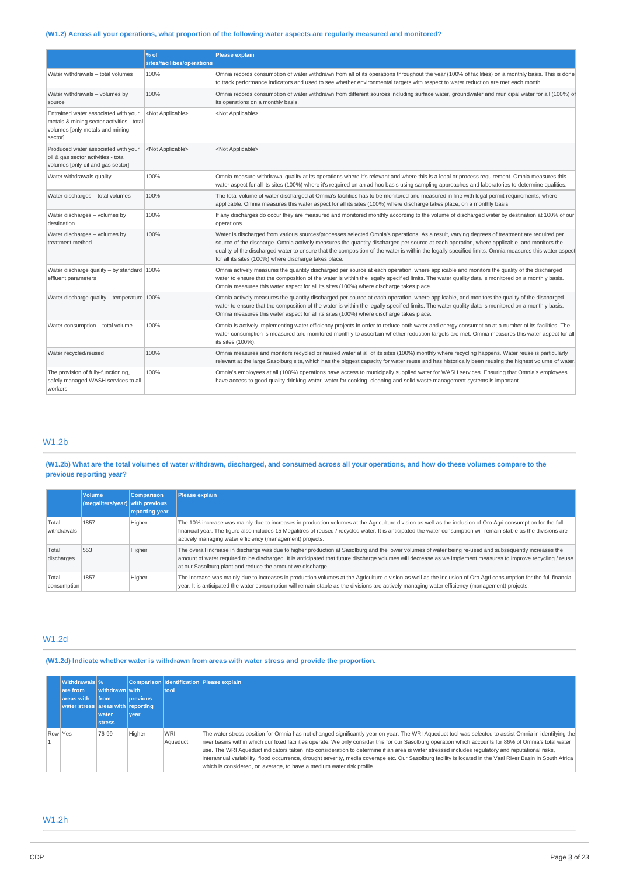# (W1.2) Across all your operations, what proportion of the following water aspects are regularly measured and monitored?

|                                                                                                                                 | % of<br>sites/facilities/operations | <b>Please explain</b>                                                                                                                                                                                                                                                                                                                                                                                                                                                                                    |
|---------------------------------------------------------------------------------------------------------------------------------|-------------------------------------|----------------------------------------------------------------------------------------------------------------------------------------------------------------------------------------------------------------------------------------------------------------------------------------------------------------------------------------------------------------------------------------------------------------------------------------------------------------------------------------------------------|
| Water withdrawals - total volumes                                                                                               | 100%                                | Omnia records consumption of water withdrawn from all of its operations throughout the year (100% of facilities) on a monthly basis. This is done<br>to track performance indicators and used to see whether environmental targets with respect to water reduction are met each month.                                                                                                                                                                                                                   |
| Water withdrawals - volumes by<br>source                                                                                        | 100%                                | Omnia records consumption of water withdrawn from different sources including surface water, groundwater and municipal water for all (100%) of<br>its operations on a monthly basis.                                                                                                                                                                                                                                                                                                                     |
| Entrained water associated with your<br>metals & mining sector activities - total<br>volumes [only metals and mining<br>sector] | <not applicable=""></not>           | <not applicable=""></not>                                                                                                                                                                                                                                                                                                                                                                                                                                                                                |
| Produced water associated with your<br>oil & gas sector activities - total<br>volumes [only oil and gas sector]                 | <not applicable=""></not>           | <not applicable=""></not>                                                                                                                                                                                                                                                                                                                                                                                                                                                                                |
| Water withdrawals quality                                                                                                       | 100%                                | Omnia measure withdrawal quality at its operations where it's relevant and where this is a legal or process requirement. Omnia measures this<br>water aspect for all its sites (100%) where it's required on an ad hoc basis using sampling approaches and laboratories to determine qualities.                                                                                                                                                                                                          |
| Water discharges - total volumes                                                                                                | 100%                                | The total volume of water discharged at Omnia's facilities has to be monitored and measured in line with legal permit requirements, where<br>applicable. Omnia measures this water aspect for all its sites (100%) where discharge takes place, on a monthly basis                                                                                                                                                                                                                                       |
| Water discharges - volumes by<br>destination                                                                                    | 100%                                | If any discharges do occur they are measured and monitored monthly according to the volume of discharged water by destination at 100% of our<br>operations.                                                                                                                                                                                                                                                                                                                                              |
| Water discharges - volumes by<br>treatment method                                                                               | 100%                                | Water is discharged from various sources/processes selected Omnia's operations. As a result, varying degrees of treatment are required per<br>source of the discharge. Omnia actively measures the quantity discharged per source at each operation, where applicable, and monitors the<br>quality of the discharged water to ensure that the composition of the water is within the legally specified limits. Omnia measures this water aspect<br>for all its sites (100%) where discharge takes place. |
| Water discharge quality - by standard $ 100\% $<br>effluent parameters                                                          |                                     | Omnia actively measures the quantity discharged per source at each operation, where applicable and monitors the quality of the discharged<br>water to ensure that the composition of the water is within the legally specified limits. The water quality data is monitored on a monthly basis.<br>Omnia measures this water aspect for all its sites (100%) where discharge takes place.                                                                                                                 |
| Water discharge quality - temperature 100%                                                                                      |                                     | Omnia actively measures the quantity discharged per source at each operation, where applicable, and monitors the quality of the discharged<br>water to ensure that the composition of the water is within the legally specified limits. The water quality data is monitored on a monthly basis.<br>Omnia measures this water aspect for all its sites (100%) where discharge takes place.                                                                                                                |
| Water consumption - total volume                                                                                                | 100%                                | Omnia is actively implementing water efficiency projects in order to reduce both water and energy consumption at a number of its facilities. The<br>water consumption is measured and monitored monthly to ascertain whether reduction targets are met. Omnia measures this water aspect for all<br>its sites (100%).                                                                                                                                                                                    |
| Water recycled/reused                                                                                                           | 100%                                | Omnia measures and monitors recycled or reused water at all of its sites (100%) monthly where recycling happens. Water reuse is particularly<br>relevant at the large Sasolburg site, which has the biggest capacity for water reuse and has historically been reusing the highest volume of water.                                                                                                                                                                                                      |
| The provision of fully-functioning,<br>safely managed WASH services to all<br>workers                                           | 100%                                | Omnia's employees at all (100%) operations have access to municipally supplied water for WASH services. Ensuring that Omnia's employees<br>have access to good quality drinking water, water for cooking, cleaning and solid waste management systems is important.                                                                                                                                                                                                                                      |

# W1.2b

(W1.2b) What are the total volumes of water withdrawn, discharged, and consumed across all your operations, and how do these volumes compare to the **previous reporting year?**

|                      | <b>Volume</b><br>$\left  \frac{1}{2} \right $ (megaliters/year) with previous | <b>Comparison</b><br>reporting year | <b>Please explain</b>                                                                                                                                                                                                                                                                                                                                                                           |
|----------------------|-------------------------------------------------------------------------------|-------------------------------------|-------------------------------------------------------------------------------------------------------------------------------------------------------------------------------------------------------------------------------------------------------------------------------------------------------------------------------------------------------------------------------------------------|
| Total<br>withdrawals | 1857                                                                          | Higher                              | The 10% increase was mainly due to increases in production volumes at the Agriculture division as well as the inclusion of Oro Agri consumption for the full<br>financial year. The figure also includes 15 Megalitres of reused / recycled water. It is anticipated the water consumption will remain stable as the divisions are<br>actively managing water efficiency (management) projects. |
| Total<br>discharges  | 553                                                                           | Higher                              | The overall increase in discharge was due to higher production at Sasolburg and the lower volumes of water being re-used and subsequently increases the<br>amount of water required to be discharged. It is anticipated that future discharge volumes will decrease as we implement measures to improve recycling / reuse<br>at our Sasolburg plant and reduce the amount we discharge.         |
| Total<br>consumption | 1857                                                                          | Higher                              | The increase was mainly due to increases in production volumes at the Agriculture division as well as the inclusion of Oro Agri consumption for the full financial<br>year. It is anticipated the water consumption will remain stable as the divisions are actively managing water efficiency (management) projects.                                                                           |

# W1.2d

**(W1.2d) Indicate whether water is withdrawn from areas with water stress and provide the proportion.**

|         | <b>Withdrawals</b> %<br>are from<br>areas with<br>water stress areas with reporting | withdrawn with<br><b>Ifrom</b><br>water<br><b>stress</b> | <b>previous</b><br>vear | tool                   | Comparison Identification Please explain                                                                                                                                                                                                                                                                                                                                                                                                                                                                                                                                                                                                                                                                   |
|---------|-------------------------------------------------------------------------------------|----------------------------------------------------------|-------------------------|------------------------|------------------------------------------------------------------------------------------------------------------------------------------------------------------------------------------------------------------------------------------------------------------------------------------------------------------------------------------------------------------------------------------------------------------------------------------------------------------------------------------------------------------------------------------------------------------------------------------------------------------------------------------------------------------------------------------------------------|
| Row Yes |                                                                                     | 76-99                                                    | Higher                  | <b>WRI</b><br>Aqueduct | The water stress position for Omnia has not changed significantly year on year. The WRI Aqueduct tool was selected to assist Omnia in identifying the<br>river basins within which our fixed facilities operate. We only consider this for our Sasolburg operation which accounts for 86% of Omnia's total water<br>use. The WRI Aqueduct indicators taken into consideration to determine if an area is water stressed includes requlatory and reputational risks,<br>interannual variability, flood occurrence, drought severity, media coverage etc. Our Sasolburg facility is located in the Vaal River Basin in South Africa<br>which is considered, on average, to have a medium water risk profile. |

# W1.2h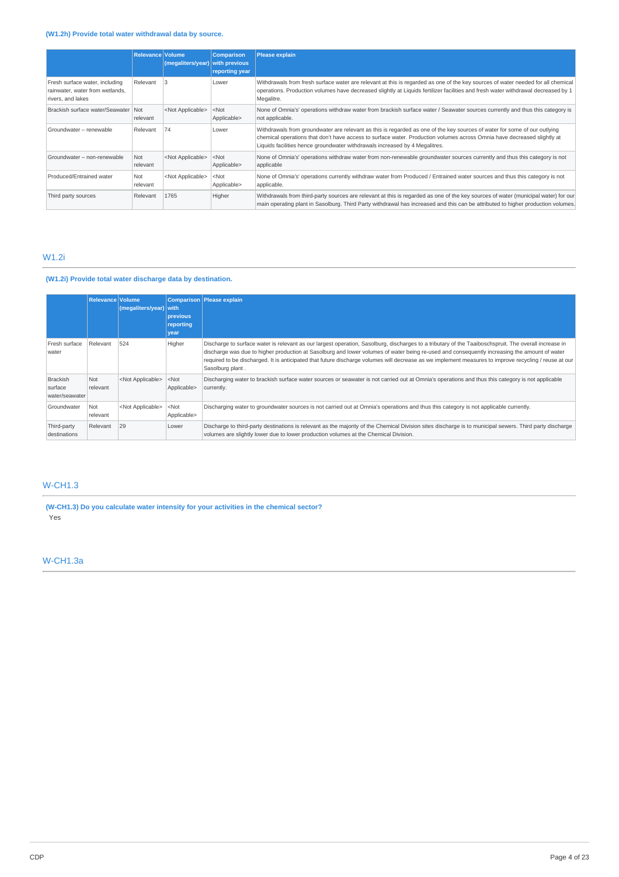# **(W1.2h) Provide total water withdrawal data by source.**

|                                                                                        | Relevance Volume | (megaliters/year)         | <b>Comparison</b><br>with previous<br>reporting year | Please explain                                                                                                                                                                                                                                                                                                                      |
|----------------------------------------------------------------------------------------|------------------|---------------------------|------------------------------------------------------|-------------------------------------------------------------------------------------------------------------------------------------------------------------------------------------------------------------------------------------------------------------------------------------------------------------------------------------|
| Fresh surface water, including<br>rainwater, water from wetlands,<br>rivers, and lakes | Relevant         |                           | Lower                                                | Withdrawals from fresh surface water are relevant at this is regarded as one of the key sources of water needed for all chemical<br>operations. Production volumes have decreased slightly at Liguids fertilizer facilities and fresh water withdrawal decreased by 1<br>Megalitre.                                                 |
| Brackish surface water/Seawater                                                        | Not<br>relevant  | <not applicable=""></not> | $<$ Not<br>Applicable>                               | None of Omnia's' operations withdraw water from brackish surface water / Seawater sources currently and thus this category is<br>not applicable.                                                                                                                                                                                    |
| Groundwater - renewable                                                                | Relevant         | 74                        | Lower                                                | Withdrawals from groundwater are relevant as this is regarded as one of the key sources of water for some of our outlying<br>chemical operations that don't have access to surface water. Production volumes across Omnia have decreased slightly at<br>Liquids facilities hence groundwater withdrawals increased by 4 Megalitres. |
| Groundwater - non-renewable                                                            | Not<br>relevant  | <not applicable=""></not> | $<$ Not<br>Applicable>                               | None of Omnia's' operations withdraw water from non-renewable groundwater sources currently and thus this category is not<br>applicable                                                                                                                                                                                             |
| Produced/Entrained water                                                               | Not<br>relevant  | <not applicable=""></not> | $<$ Not<br>Applicable>                               | None of Omnia's' operations currently withdraw water from Produced / Entrained water sources and thus this category is not<br>applicable.                                                                                                                                                                                           |
| Third party sources                                                                    | Relevant         | 1765                      | Higher                                               | Withdrawals from third-party sources are relevant at this is regarded as one of the key sources of water (municipal water) for our<br>main operating plant in Sasolburg. Third Party withdrawal has increased and this can be attributed to higher production volumes.                                                              |

# W1.2i

# **(W1.2i) Provide total water discharge data by destination.**

|                                              | <b>Relevance Volume</b> | (megative s/year)         | <b>with</b><br>previous<br>reporting<br>year | Comparison Please explain                                                                                                                                                                                                                                                                                                                                                                                                                                                          |
|----------------------------------------------|-------------------------|---------------------------|----------------------------------------------|------------------------------------------------------------------------------------------------------------------------------------------------------------------------------------------------------------------------------------------------------------------------------------------------------------------------------------------------------------------------------------------------------------------------------------------------------------------------------------|
| Fresh surface<br>water                       | Relevant                | 524                       | Higher                                       | Discharge to surface water is relevant as our largest operation, Sasolburg, discharges to a tributary of the Taaiboschspruit. The overall increase in<br>discharge was due to higher production at Sasolburg and lower volumes of water being re-used and consequently increasing the amount of water<br>required to be discharged. It is anticipated that future discharge volumes will decrease as we implement measures to improve recycling / reuse at our<br>Sasolburg plant. |
| <b>Brackish</b><br>surface<br>water/seawater | Not<br>relevant         | <not applicable=""></not> | $<$ Not<br>Applicable>                       | Discharging water to brackish surface water sources or seawater is not carried out at Omnia's operations and thus this category is not applicable<br>currently.                                                                                                                                                                                                                                                                                                                    |
| Groundwater                                  | Not<br>relevant         | <not applicable=""></not> | $<$ Not<br>Applicable>                       | Discharging water to groundwater sources is not carried out at Omnia's operations and thus this category is not applicable currently.                                                                                                                                                                                                                                                                                                                                              |
| Third-party<br>destinations                  | Relevant                | 29                        | Lower                                        | Discharge to third-party destinations is relevant as the majority of the Chemical Division sites discharge is to municipal sewers. Third party discharge<br>volumes are slightly lower due to lower production volumes at the Chemical Division.                                                                                                                                                                                                                                   |

# W-CH1.3

**(W-CH1.3) Do you calculate water intensity for your activities in the chemical sector?** Yes

# W-CH1.3a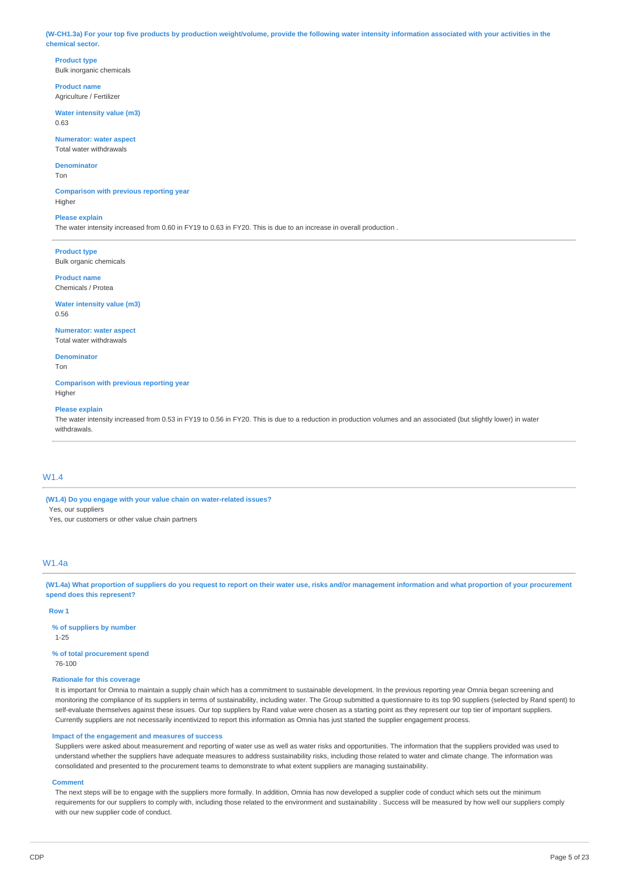(W-CH1.3a) For your top five products by production weight/volume, provide the following water intensity information associated with your activities in the **chemical sector.**

**Product type** Bulk inorganic chemicals

**Product name** Agriculture / Fertilizer

**Water intensity value (m3)** 0.63

**Numerator: water aspect** Total water withdrawals

# **Denominator**

Ton

**Comparison with previous reporting year** Higher

### **Please explain**

The water intensity increased from 0.60 in FY19 to 0.63 in FY20. This is due to an increase in overall production .

**Product type** Bulk organic chemicals

**Product name** Chemicals / Protea

**Water intensity value (m3)** 0.56

**Numerator: water aspect** Total water withdrawals

**Denominator**

Ton

**Comparison with previous reporting year** Higher

### **Please explain**

The water intensity increased from 0.53 in FY19 to 0.56 in FY20. This is due to a reduction in production volumes and an associated (but slightly lower) in water withdrawals.

# W1.4

**(W1.4) Do you engage with your value chain on water-related issues?** Yes, our suppliers

Yes, our customers or other value chain partners

# W1.4a

(W1.4a) What proportion of suppliers do you request to report on their water use, risks and/or management information and what proportion of your procurement **spend does this represent?**

### **Row 1**

**% of suppliers by number** 1-25

**% of total procurement spend** 76-100

# **Rationale for this coverage**

It is important for Omnia to maintain a supply chain which has a commitment to sustainable development. In the previous reporting year Omnia began screening and monitoring the compliance of its suppliers in terms of sustainability, including water. The Group submitted a questionnaire to its top 90 suppliers (selected by Rand spent) to self-evaluate themselves against these issues. Our top suppliers by Rand value were chosen as a starting point as they represent our top tier of important suppliers. Currently suppliers are not necessarily incentivized to report this information as Omnia has just started the supplier engagement process.

### **Impact of the engagement and measures of success**

Suppliers were asked about measurement and reporting of water use as well as water risks and opportunities. The information that the suppliers provided was used to understand whether the suppliers have adequate measures to address sustainability risks, including those related to water and climate change. The information was consolidated and presented to the procurement teams to demonstrate to what extent suppliers are managing sustainability.

### **Comment**

The next steps will be to engage with the suppliers more formally. In addition, Omnia has now developed a supplier code of conduct which sets out the minimum requirements for our suppliers to comply with, including those related to the environment and sustainability . Success will be measured by how well our suppliers comply with our new supplier code of conduct.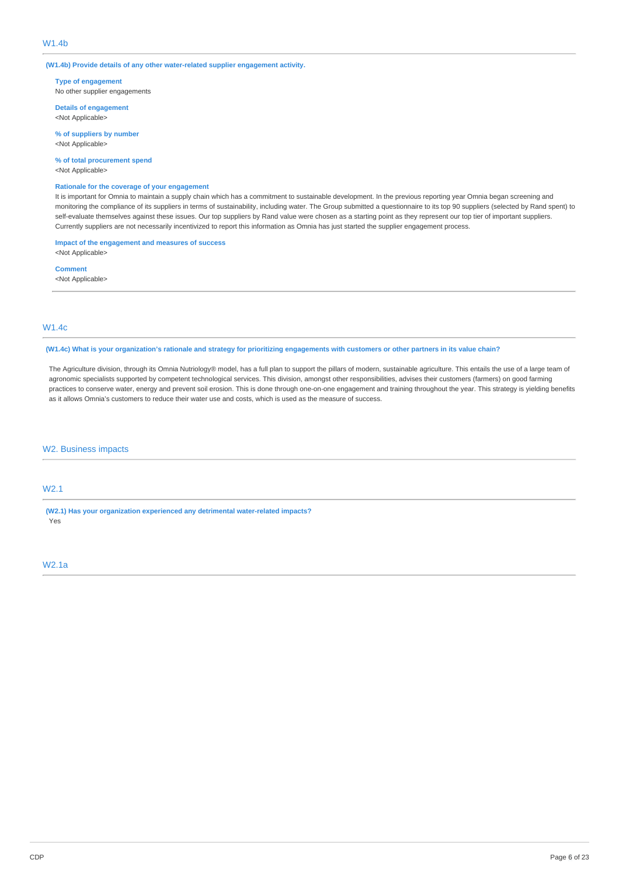## W1.4b

**(W1.4b) Provide details of any other water-related supplier engagement activity.**

**Type of engagement** No other supplier engagements

**Details of engagement** <Not Applicable>

**% of suppliers by number** <Not Applicable>

**% of total procurement spend** <Not Applicable>

# **Rationale for the coverage of your engagement**

It is important for Omnia to maintain a supply chain which has a commitment to sustainable development. In the previous reporting year Omnia began screening and monitoring the compliance of its suppliers in terms of sustainability, including water. The Group submitted a questionnaire to its top 90 suppliers (selected by Rand spent) to self-evaluate themselves against these issues. Our top suppliers by Rand value were chosen as a starting point as they represent our top tier of important suppliers. Currently suppliers are not necessarily incentivized to report this information as Omnia has just started the supplier engagement process.

**Impact of the engagement and measures of success** <Not Applicable>

**Comment** <Not Applicable>

# W1.4c

(W1.4c) What is your organization's rationale and strategy for prioritizing engagements with customers or other partners in its value chain?

The Agriculture division, through its Omnia Nutriology® model, has a full plan to support the pillars of modern, sustainable agriculture. This entails the use of a large team of agronomic specialists supported by competent technological services. This division, amongst other responsibilities, advises their customers (farmers) on good farming practices to conserve water, energy and prevent soil erosion. This is done through one-on-one engagement and training throughout the year. This strategy is yielding benefits as it allows Omnia's customers to reduce their water use and costs, which is used as the measure of success.

# W2. Business impacts

# W2.1

**(W2.1) Has your organization experienced any detrimental water-related impacts?** Yes

# W2.1a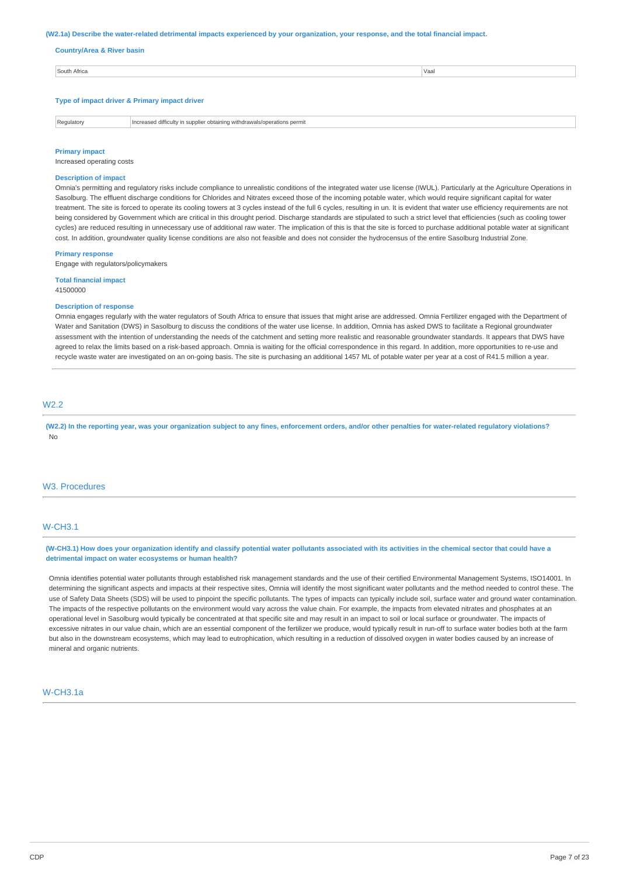#### (W2.1a) Describe the water-related detrimental impacts experienced by your organization, your response, and the total financial impact.

**Country/Area & River basin**

| South Africa                                  | Vaal |  |  |  |  |  |  |
|-----------------------------------------------|------|--|--|--|--|--|--|
|                                               |      |  |  |  |  |  |  |
|                                               |      |  |  |  |  |  |  |
| Type of impact driver & Primary impact driver |      |  |  |  |  |  |  |
|                                               |      |  |  |  |  |  |  |

Regulatory **Increased difficulty in supplier obtaining withdrawals/operations permit** 

# **Primary impact**

Increased operating costs

# **Description of impact**

Omnia's permitting and regulatory risks include compliance to unrealistic conditions of the integrated water use license (IWUL). Particularly at the Agriculture Operations in Sasolburg. The effluent discharge conditions for Chlorides and Nitrates exceed those of the incoming potable water, which would require significant capital for water treatment. The site is forced to operate its cooling towers at 3 cycles instead of the full 6 cycles, resulting in un. It is evident that water use efficiency requirements are not being considered by Government which are critical in this drought period. Discharge standards are stipulated to such a strict level that efficiencies (such as cooling tower cycles) are reduced resulting in unnecessary use of additional raw water. The implication of this is that the site is forced to purchase additional potable water at significant cost. In addition, groundwater quality license conditions are also not feasible and does not consider the hydrocensus of the entire Sasolburg Industrial Zone.

#### **Primary response**

Engage with regulators/policymakers

**Total financial impact** 41500000

#### **Description of response**

Omnia engages regularly with the water regulators of South Africa to ensure that issues that might arise are addressed. Omnia Fertilizer engaged with the Department of Water and Sanitation (DWS) in Sasolburg to discuss the conditions of the water use license. In addition, Omnia has asked DWS to facilitate a Regional groundwater assessment with the intention of understanding the needs of the catchment and setting more realistic and reasonable groundwater standards. It appears that DWS have agreed to relax the limits based on a risk-based approach. Omnia is waiting for the official correspondence in this regard. In addition, more opportunities to re-use and recycle waste water are investigated on an on-going basis. The site is purchasing an additional 1457 ML of potable water per year at a cost of R41.5 million a year.

# W2.2

(W2.2) In the reporting year, was your organization subject to any fines, enforcement orders, and/or other penalties for water-related regulatory violations? No

### W3. Procedures

### W-CH3.1

(W-CH3.1) How does your organization identify and classify potential water pollutants associated with its activities in the chemical sector that could have a **detrimental impact on water ecosystems or human health?**

Omnia identifies potential water pollutants through established risk management standards and the use of their certified Environmental Management Systems, ISO14001. In determining the significant aspects and impacts at their respective sites, Omnia will identify the most significant water pollutants and the method needed to control these. The use of Safety Data Sheets (SDS) will be used to pinpoint the specific pollutants. The types of impacts can typically include soil, surface water and ground water contamination. The impacts of the respective pollutants on the environment would vary across the value chain. For example, the impacts from elevated nitrates and phosphates at an operational level in Sasolburg would typically be concentrated at that specific site and may result in an impact to soil or local surface or groundwater. The impacts of excessive nitrates in our value chain, which are an essential component of the fertilizer we produce, would typically result in run-off to surface water bodies both at the farm but also in the downstream ecosystems, which may lead to eutrophication, which resulting in a reduction of dissolved oxygen in water bodies caused by an increase of mineral and organic nutrients.

### W-CH3.1a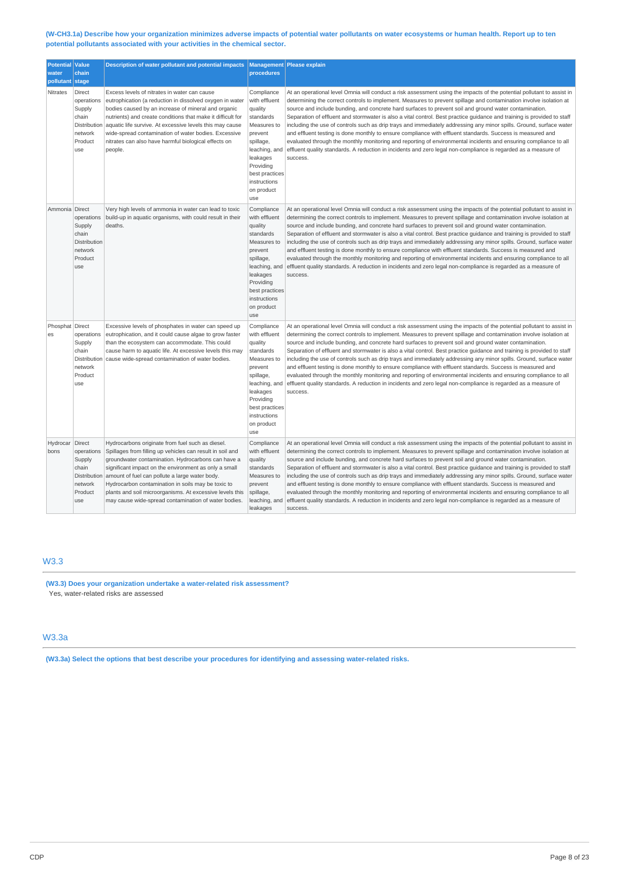### (W-CH3.1a) Describe how your organization minimizes adverse impacts of potential water pollutants on water ecosystems or human health. Report up to ten **potential pollutants associated with your activities in the chemical sector.**

| <b>Potential Value</b><br>water<br>pollutant stage | chain                                                                                | Description of water pollutant and potential impacts                                                                                                                                                                                                                                                                                                                                                                                                     | procedures                                                                                                                                                                                  | Management Please explain                                                                                                                                                                                                                                                                                                                                                                                                                                                                                                                                                                                                                                                                                                                                                                                                                                                                                                                                                |
|----------------------------------------------------|--------------------------------------------------------------------------------------|----------------------------------------------------------------------------------------------------------------------------------------------------------------------------------------------------------------------------------------------------------------------------------------------------------------------------------------------------------------------------------------------------------------------------------------------------------|---------------------------------------------------------------------------------------------------------------------------------------------------------------------------------------------|--------------------------------------------------------------------------------------------------------------------------------------------------------------------------------------------------------------------------------------------------------------------------------------------------------------------------------------------------------------------------------------------------------------------------------------------------------------------------------------------------------------------------------------------------------------------------------------------------------------------------------------------------------------------------------------------------------------------------------------------------------------------------------------------------------------------------------------------------------------------------------------------------------------------------------------------------------------------------|
| Nitrates                                           | Direct<br>operations<br>Supply<br>chain<br>Distribution<br>network<br>Product<br>use | Excess levels of nitrates in water can cause<br>eutrophication (a reduction in dissolved oxygen in water<br>bodies caused by an increase of mineral and organic<br>nutrients) and create conditions that make it difficult for<br>aquatic life survive. At excessive levels this may cause<br>wide-spread contamination of water bodies. Excessive<br>nitrates can also have harmful biological effects on<br>people.                                    | Compliance<br>with effluent<br>quality<br>standards<br>Measures to<br>prevent<br>spillage,<br>leaching, and<br>leakages<br>Providing<br>best practices<br>instructions<br>on product<br>use | At an operational level Omnia will conduct a risk assessment using the impacts of the potential pollutant to assist in<br>determining the correct controls to implement. Measures to prevent spillage and contamination involve isolation at<br>source and include bunding, and concrete hard surfaces to prevent soil and ground water contamination.<br>Separation of effluent and stormwater is also a vital control. Best practice quidance and training is provided to staff<br>including the use of controls such as drip trays and immediately addressing any minor spills. Ground, surface water<br>and effluent testing is done monthly to ensure compliance with effluent standards. Success is measured and<br>evaluated through the monthly monitoring and reporting of environmental incidents and ensuring compliance to all<br>effluent quality standards. A reduction in incidents and zero legal non-compliance is regarded as a measure of<br>success. |
| Ammonia Direct                                     | operations<br>Supply<br>chain<br>Distribution<br>network<br>Product<br>use           | Very high levels of ammonia in water can lead to toxic<br>build-up in aquatic organisms, with could result in their<br>deaths.                                                                                                                                                                                                                                                                                                                           | Compliance<br>with effluent<br>quality<br>standards<br>Measures to<br>prevent<br>spillage,<br>leaching, and<br>leakages<br>Providing<br>best practices<br>instructions<br>on product<br>use | At an operational level Omnia will conduct a risk assessment using the impacts of the potential pollutant to assist in<br>determining the correct controls to implement. Measures to prevent spillage and contamination involve isolation at<br>source and include bunding, and concrete hard surfaces to prevent soil and ground water contamination.<br>Separation of effluent and stormwater is also a vital control. Best practice quidance and training is provided to staff<br>including the use of controls such as drip trays and immediately addressing any minor spills. Ground, surface water<br>and effluent testing is done monthly to ensure compliance with effluent standards. Success is measured and<br>evaluated through the monthly monitoring and reporting of environmental incidents and ensuring compliance to all<br>effluent quality standards. A reduction in incidents and zero legal non-compliance is regarded as a measure of<br>success. |
| Phosphat Direct<br>es                              | operations<br>Supply<br>chain<br>Distribution<br>network<br>Product<br>use           | Excessive levels of phosphates in water can speed up<br>eutrophication, and it could cause algae to grow faster<br>than the ecosystem can accommodate. This could<br>cause harm to aquatic life. At excessive levels this may<br>cause wide-spread contamination of water bodies.                                                                                                                                                                        | Compliance<br>with effluent<br>quality<br>standards<br>Measures to<br>prevent<br>spillage,<br>leaching, and<br>leakages<br>Providing<br>best practices<br>instructions<br>on product<br>use | At an operational level Omnia will conduct a risk assessment using the impacts of the potential pollutant to assist in<br>determining the correct controls to implement. Measures to prevent spillage and contamination involve isolation at<br>source and include bunding, and concrete hard surfaces to prevent soil and ground water contamination.<br>Separation of effluent and stormwater is also a vital control. Best practice quidance and training is provided to staff<br>including the use of controls such as drip trays and immediately addressing any minor spills. Ground, surface water<br>and effluent testing is done monthly to ensure compliance with effluent standards. Success is measured and<br>evaluated through the monthly monitoring and reporting of environmental incidents and ensuring compliance to all<br>effluent quality standards. A reduction in incidents and zero legal non-compliance is regarded as a measure of<br>success. |
| Hydrocar Direct<br>bons                            | operations<br>Supply<br>chain<br>Distribution<br>network<br>Product<br>use           | Hydrocarbons originate from fuel such as diesel.<br>Spillages from filling up vehicles can result in soil and<br>groundwater contamination. Hydrocarbons can have a<br>significant impact on the environment as only a small<br>amount of fuel can pollute a large water body.<br>Hydrocarbon contamination in soils may be toxic to<br>plants and soil microorganisms. At excessive levels this<br>may cause wide-spread contamination of water bodies. | Compliance<br>with effluent<br>quality<br>standards<br>Measures to<br>prevent<br>spillage,<br>leaching, and<br>leakages                                                                     | At an operational level Omnia will conduct a risk assessment using the impacts of the potential pollutant to assist in<br>determining the correct controls to implement. Measures to prevent spillage and contamination involve isolation at<br>source and include bunding, and concrete hard surfaces to prevent soil and ground water contamination.<br>Separation of effluent and stormwater is also a vital control. Best practice guidance and training is provided to staff<br>including the use of controls such as drip trays and immediately addressing any minor spills. Ground, surface water<br>and effluent testing is done monthly to ensure compliance with effluent standards. Success is measured and<br>evaluated through the monthly monitoring and reporting of environmental incidents and ensuring compliance to all<br>effluent quality standards. A reduction in incidents and zero legal non-compliance is regarded as a measure of<br>success. |

# W3.3

**(W3.3) Does your organization undertake a water-related risk assessment?** Yes, water-related risks are assessed

# W3.3a

**(W3.3a) Select the options that best describe your procedures for identifying and assessing water-related risks.**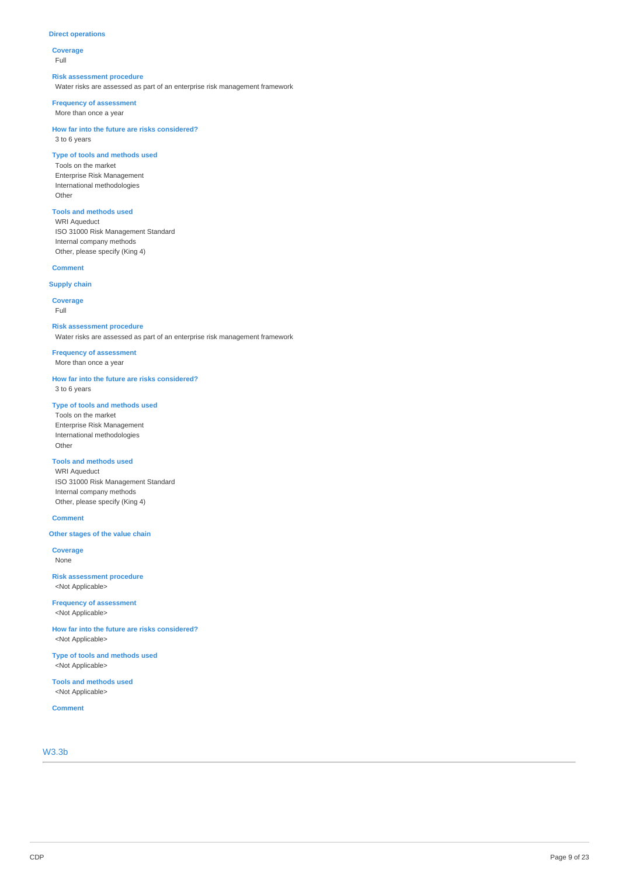### **Direct operations**

### **Coverage** Full

# **Risk assessment procedure**

Water risks are assessed as part of an enterprise risk management framework

### **Frequency of assessment**

More than once a year

### **How far into the future are risks considered?** 3 to 6 years

# **Type of tools and methods used**

Tools on the market Enterprise Risk Management International methodologies Other

# **Tools and methods used**

WRI Aqueduct ISO 31000 Risk Management Standard Internal company methods Other, please specify (King 4)

# **Comment**

# **Supply chain**

**Coverage**

Full

### **Risk assessment procedure**

Water risks are assessed as part of an enterprise risk management framework

### **Frequency of assessment** More than once a year

**How far into the future are risks considered?**

3 to 6 years

# **Type of tools and methods used**

Tools on the market Enterprise Risk Management International methodologies Other

### **Tools and methods used**

WRI Aqueduct ISO 31000 Risk Management Standard Internal company methods Other, please specify (King 4)

### **Comment**

### **Other stages of the value chain**

**Coverage** None

**Risk assessment procedure** <Not Applicable>

**Frequency of assessment** <Not Applicable>

**How far into the future are risks considered?** <Not Applicable>

**Type of tools and methods used** <Not Applicable>

**Tools and methods used** <Not Applicable>

**Comment**

# W3.3b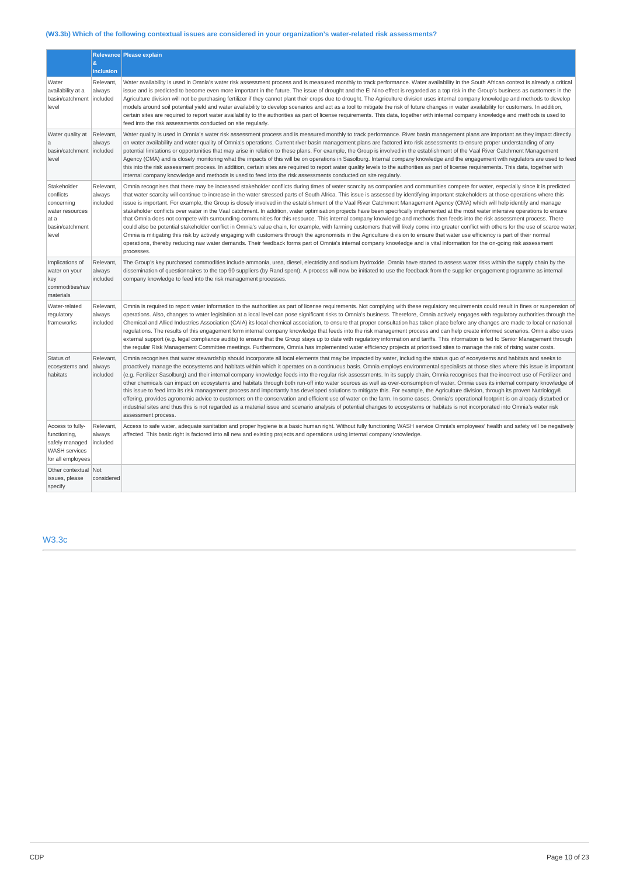# **(W3.3b) Which of the following contextual issues are considered in your organization's water-related risk assessments?**

|                                                                                                 |                                    | Relevance Please explain                                                                                                                                                                                                                                                                                                                                                                                                                                                                                                                                                                                                                                                                                                                                                                                                                                                                                                                                                                                                                                                                                                                                                                                                                                                                                                                                                                                                                                                                                           |
|-------------------------------------------------------------------------------------------------|------------------------------------|--------------------------------------------------------------------------------------------------------------------------------------------------------------------------------------------------------------------------------------------------------------------------------------------------------------------------------------------------------------------------------------------------------------------------------------------------------------------------------------------------------------------------------------------------------------------------------------------------------------------------------------------------------------------------------------------------------------------------------------------------------------------------------------------------------------------------------------------------------------------------------------------------------------------------------------------------------------------------------------------------------------------------------------------------------------------------------------------------------------------------------------------------------------------------------------------------------------------------------------------------------------------------------------------------------------------------------------------------------------------------------------------------------------------------------------------------------------------------------------------------------------------|
|                                                                                                 | $\boldsymbol{\alpha}$<br>inclusion |                                                                                                                                                                                                                                                                                                                                                                                                                                                                                                                                                                                                                                                                                                                                                                                                                                                                                                                                                                                                                                                                                                                                                                                                                                                                                                                                                                                                                                                                                                                    |
| Water<br>availability at a<br>basin/catchment<br>level                                          | Relevant.<br>always<br>included    | Water availability is used in Omnia's water risk assessment process and is measured monthly to track performance. Water availability in the South African context is already a critical<br>issue and is predicted to become even more important in the future. The issue of drought and the El Nino effect is regarded as a top risk in the Group's business as customers in the<br>Agriculture division will not be purchasing fertilizer if they cannot plant their crops due to drought. The Agriculture division uses internal company knowledge and methods to develop<br>models around soil potential yield and water availability to develop scenarios and act as a tool to mitigate the risk of future changes in water availability for customers. In addition,<br>certain sites are required to report water availability to the authorities as part of license requirements. This data, together with internal company knowledge and methods is used to<br>feed into the risk assessments conducted on site regularly.                                                                                                                                                                                                                                                                                                                                                                                                                                                                                  |
| Water quality at<br>a<br>basin/catchment   included<br>level                                    | Relevant,<br>always                | Water quality is used in Omnia's water risk assessment process and is measured monthly to track performance. River basin management plans are important as they impact directly<br>on water availability and water quality of Omnia's operations. Current river basin management plans are factored into risk assessments to ensure proper understanding of any<br>potential limitations or opportunities that may arise in relation to these plans. For example, the Group is involved in the establishment of the Vaal River Catchment Management<br>Agency (CMA) and is closely monitoring what the impacts of this will be on operations in Sasolburg. Internal company knowledge and the engagement with regulators are used to feed<br>this into the risk assessment process. In addition, certain sites are required to report water quality levels to the authorities as part of license requirements. This data, together with<br>internal company knowledge and methods is used to feed into the risk assessments conducted on site regularly.                                                                                                                                                                                                                                                                                                                                                                                                                                                           |
| Stakeholder<br>conflicts<br>concerning<br>water resources<br>at a<br>basin/catchment<br>level   | Relevant<br>always<br>included     | Omnia recognises that there may be increased stakeholder conflicts during times of water scarcity as companies and communities compete for water, especially since it is predicted<br>that water scarcity will continue to increase in the water stressed parts of South Africa. This issue is assessed by identifying important stakeholders at those operations where this<br>issue is important. For example, the Group is closely involved in the establishment of the Vaal River Catchment Management Agency (CMA) which will help identify and manage<br>stakeholder conflicts over water in the Vaal catchment. In addition, water optimisation projects have been specifically implemented at the most water intensive operations to ensure<br>that Omnia does not compete with surrounding communities for this resource. This internal company knowledge and methods then feeds into the risk assessment process. There<br>could also be potential stakeholder conflict in Omnia's value chain, for example, with farming customers that will likely come into greater conflict with others for the use of scarce water.<br>Omnia is mitigating this risk by actively engaging with customers through the agronomists in the Agriculture division to ensure that water use efficiency is part of their normal<br>operations, thereby reducing raw water demands. Their feedback forms part of Omnia's internal company knowledge and is vital information for the on-going risk assessment<br>processes. |
| Implications of<br>water on your<br>key<br>commodities/raw<br>materials                         | Relevant,<br>always<br>included    | The Group's key purchased commodities include ammonia, urea, diesel, electricity and sodium hydroxide. Omnia have started to assess water risks within the supply chain by the<br>dissemination of questionnaires to the top 90 suppliers (by Rand spent). A process will now be initiated to use the feedback from the supplier engagement programme as internal<br>company knowledge to feed into the risk management processes.                                                                                                                                                                                                                                                                                                                                                                                                                                                                                                                                                                                                                                                                                                                                                                                                                                                                                                                                                                                                                                                                                 |
| Water-related<br>regulatory<br>frameworks                                                       | Relevant,<br>always<br>included    | Omnia is required to report water information to the authorities as part of license requirements. Not complying with these requlatory requirements could result in fines or suspension of<br>operations. Also, changes to water legislation at a local level can pose significant risks to Omnia's business. Therefore, Omnia actively engages with regulatory authorities through the<br>Chemical and Allied Industries Association (CAIA) its local chemical association, to ensure that proper consultation has taken place before any changes are made to local or national<br>regulations. The results of this engagement form internal company knowledge that feeds into the risk management process and can help create informed scenarios. Omnia also uses<br>external support (e.g. legal compliance audits) to ensure that the Group stays up to date with regulatory information and tariffs. This information is fed to Senior Management through<br>the regular Risk Management Committee meetings. Furthermore, Omnia has implemented water efficiency projects at prioritised sites to manage the risk of rising water costs.                                                                                                                                                                                                                                                                                                                                                                       |
| Status of<br>ecosystems and<br>habitats                                                         | Relevant<br>always<br>included     | Omnia recognises that water stewardship should incorporate all local elements that may be impacted by water, including the status quo of ecosystems and habitats and seeks to<br>proactively manage the ecosystems and habitats within which it operates on a continuous basis. Omnia employs environmental specialists at those sites where this issue is important<br>(e.g. Fertilizer Sasolburg) and their internal company knowledge feeds into the regular risk assessments. In its supply chain, Omnia recognises that the incorrect use of Fertilizer and<br>other chemicals can impact on ecosystems and habitats through both run-off into water sources as well as over-consumption of water. Omnia uses its internal company knowledge of<br>this issue to feed into its risk management process and importantly has developed solutions to mitigate this. For example, the Agriculture division, through its proven Nutriology®<br>offering, provides agronomic advice to customers on the conservation and efficient use of water on the farm. In some cases, Omnia's operational footprint is on already disturbed or<br>industrial sites and thus this is not regarded as a material issue and scenario analysis of potential changes to ecosystems or habitats is not incorporated into Omnia's water risk<br>assessment process.                                                                                                                                                                  |
| Access to fully-<br>functioning,<br>safely managed<br><b>WASH services</b><br>for all employees | Relevant,<br>always<br>included    | Access to safe water, adequate sanitation and proper hygiene is a basic human right. Without fully functioning WASH service Omnia's employees' health and safety will be negatively<br>affected. This basic right is factored into all new and existing projects and operations using internal company knowledge.                                                                                                                                                                                                                                                                                                                                                                                                                                                                                                                                                                                                                                                                                                                                                                                                                                                                                                                                                                                                                                                                                                                                                                                                  |
| Other contextual Not<br>issues, please<br>specify                                               | considered                         |                                                                                                                                                                                                                                                                                                                                                                                                                                                                                                                                                                                                                                                                                                                                                                                                                                                                                                                                                                                                                                                                                                                                                                                                                                                                                                                                                                                                                                                                                                                    |

W3.3c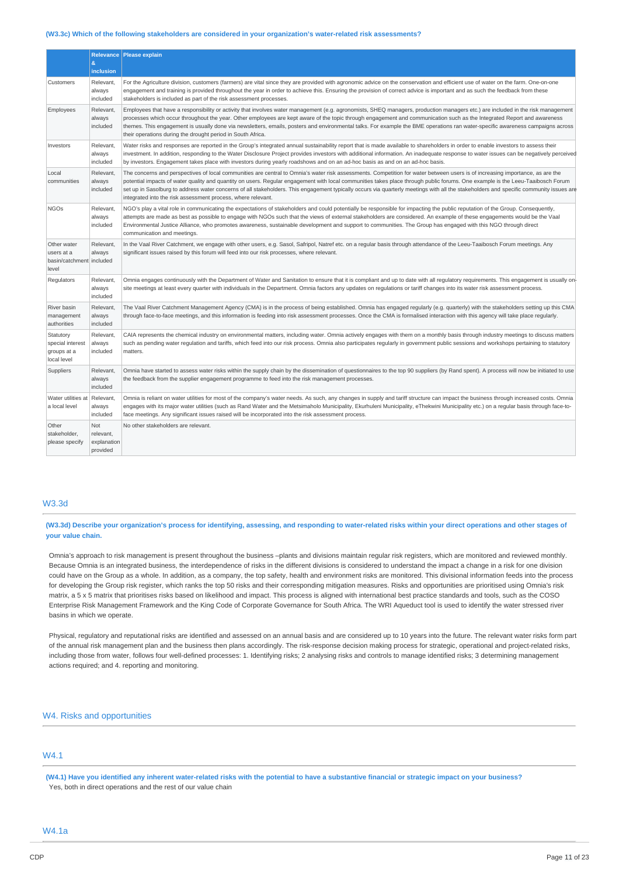#### **(W3.3c) Which of the following stakeholders are considered in your organization's water-related risk assessments?**

|                                                                |                                             | Relevance   Please explain                                                                                                                                                                                                                                                                                                                                                                                                                                                                                                                                                                                                |
|----------------------------------------------------------------|---------------------------------------------|---------------------------------------------------------------------------------------------------------------------------------------------------------------------------------------------------------------------------------------------------------------------------------------------------------------------------------------------------------------------------------------------------------------------------------------------------------------------------------------------------------------------------------------------------------------------------------------------------------------------------|
|                                                                | &<br>inclusion                              |                                                                                                                                                                                                                                                                                                                                                                                                                                                                                                                                                                                                                           |
| Customers                                                      | Relevant,<br>always<br>included             | For the Agriculture division, customers (farmers) are vital since they are provided with agronomic advice on the conservation and efficient use of water on the farm. One-on-one<br>engagement and training is provided throughout the year in order to achieve this. Ensuring the provision of correct advice is important and as such the feedback from these<br>stakeholders is included as part of the risk assessment processes.                                                                                                                                                                                     |
| Employees                                                      | Relevant,<br>always<br>included             | Employees that have a responsibility or activity that involves water management (e.g. agronomists, SHEQ managers, production managers etc.) are included in the risk management<br>processes which occur throughout the year. Other employees are kept aware of the topic through engagement and communication such as the Integrated Report and awareness<br>themes. This engagement is usually done via newsletters, emails, posters and environmental talks. For example the BME operations ran water-specific awareness campaigns across<br>their operations during the drought period in South Africa.               |
| Investors                                                      | Relevant,<br>always<br>included             | Water risks and responses are reported in the Group's integrated annual sustainability report that is made available to shareholders in order to enable investors to assess their<br>investment. In addition, responding to the Water Disclosure Project provides investors with additional information. An inadequate response to water issues can be negatively perceived<br>by investors. Engagement takes place with investors during yearly roadshows and on an ad-hoc basis as and on an ad-hoc basis.                                                                                                              |
| Local<br>communities                                           | Relevant,<br>always<br>included             | The concerns and perspectives of local communities are central to Omnia's water risk assessments. Competition for water between users is of increasing importance, as are the<br>potential impacts of water quality and quantity on users. Regular engagement with local communities takes place through public forums. One example is the Leeu-Taaibosch Forum<br>set up in Sasolburg to address water concerns of all stakeholders. This engagement typically occurs via quarterly meetings with all the stakeholders and specific community issues are<br>integrated into the risk assessment process, where relevant. |
| <b>NGOs</b>                                                    | Relevant,<br>always<br>included             | NGO's play a vital role in communicating the expectations of stakeholders and could potentially be responsible for impacting the public reputation of the Group. Consequently,<br>attempts are made as best as possible to engage with NGOs such that the views of external stakeholders are considered. An example of these engagements would be the Vaal<br>Environmental Justice Alliance, who promotes awareness, sustainable development and support to communities. The Group has engaged with this NGO through direct<br>communication and meetings.                                                               |
| Other water<br>users at a<br>basin/catchment included<br>level | Relevant,<br>always                         | In the Vaal River Catchment, we engage with other users, e.g. Sasol, Safripol, Natref etc. on a regular basis through attendance of the Leeu-Taaibosch Forum meetings. Any<br>significant issues raised by this forum will feed into our risk processes, where relevant.                                                                                                                                                                                                                                                                                                                                                  |
| Regulators                                                     | Relevant,<br>always<br>included             | Omnia engages continuously with the Department of Water and Sanitation to ensure that it is compliant and up to date with all regulatory requirements. This engagement is usually on-<br>site meetings at least every quarter with individuals in the Department. Omnia factors any updates on regulations or tariff changes into its water risk assessment process.                                                                                                                                                                                                                                                      |
| River basin<br>management<br>authorities                       | Relevant,<br>always<br>included             | The Vaal River Catchment Management Agency (CMA) is in the process of being established. Omnia has engaged regularly (e.g. quarterly) with the stakeholders setting up this CMA<br>through face-to-face meetings, and this information is feeding into risk assessment processes. Once the CMA is formalised interaction with this agency will take place regularly.                                                                                                                                                                                                                                                      |
| Statutory<br>special interest<br>groups at a<br>local level    | Relevant,<br>always<br>included             | CAIA represents the chemical industry on environmental matters, including water. Omnia actively engages with them on a monthly basis through industry meetings to discuss matters<br>such as pending water regulation and tariffs, which feed into our risk process. Omnia also participates regularly in government public sessions and workshops pertaining to statutory<br>matters.                                                                                                                                                                                                                                    |
| Suppliers                                                      | Relevant,<br>always<br>included             | Omnia have started to assess water risks within the supply chain by the dissemination of questionnaires to the top 90 suppliers (by Rand spent). A process will now be initiated to use<br>the feedback from the supplier engagement programme to feed into the risk management processes.                                                                                                                                                                                                                                                                                                                                |
| Water utilities at Relevant,<br>a local level                  | always<br>included                          | Omnia is reliant on water utilities for most of the company's water needs. As such, any changes in supply and tariff structure can impact the business through increased costs. Omnia<br>engages with its major water utilities (such as Rand Water and the Metsimaholo Municipality, Ekurhuleni Municipality, eThekwini Municipality etc.) on a regular basis through face-to-<br>face meetings. Any significant issues raised will be incorporated into the risk assessment process.                                                                                                                                    |
| Other<br>stakeholder,<br>please specify                        | Not<br>relevant,<br>explanation<br>provided | No other stakeholders are relevant.                                                                                                                                                                                                                                                                                                                                                                                                                                                                                                                                                                                       |

### W3.3d

(W3.3d) Describe your organization's process for identifying, assessing, and responding to water-related risks within your direct operations and other stages of **your value chain.**

Omnia's approach to risk management is present throughout the business –plants and divisions maintain regular risk registers, which are monitored and reviewed monthly. Because Omnia is an integrated business, the interdependence of risks in the different divisions is considered to understand the impact a change in a risk for one division could have on the Group as a whole. In addition, as a company, the top safety, health and environment risks are monitored. This divisional information feeds into the process for developing the Group risk register, which ranks the top 50 risks and their corresponding mitigation measures. Risks and opportunities are prioritised using Omnia's risk matrix, a 5 x 5 matrix that prioritises risks based on likelihood and impact. This process is aligned with international best practice standards and tools, such as the COSO Enterprise Risk Management Framework and the King Code of Corporate Governance for South Africa. The WRI Aqueduct tool is used to identify the water stressed river basins in which we operate.

Physical, regulatory and reputational risks are identified and assessed on an annual basis and are considered up to 10 years into the future. The relevant water risks form part of the annual risk management plan and the business then plans accordingly. The risk-response decision making process for strategic, operational and project-related risks, including those from water, follows four well-defined processes: 1. Identifying risks; 2 analysing risks and controls to manage identified risks; 3 determining management actions required; and 4. reporting and monitoring.

### W4. Risks and opportunities

# W4.1

(W4.1) Have you identified any inherent water-related risks with the potential to have a substantive financial or strategic impact on your business? Yes, both in direct operations and the rest of our value chain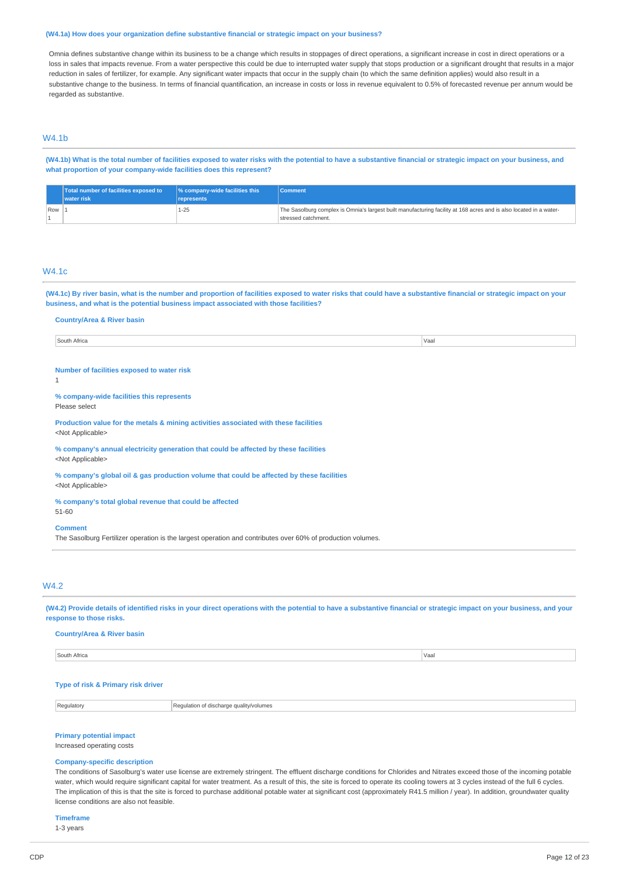#### **(W4.1a) How does your organization define substantive financial or strategic impact on your business?**

Omnia defines substantive change within its business to be a change which results in stoppages of direct operations, a significant increase in cost in direct operations or a loss in sales that impacts revenue. From a water perspective this could be due to interrupted water supply that stops production or a significant drought that results in a major reduction in sales of fertilizer, for example. Any significant water impacts that occur in the supply chain (to which the same definition applies) would also result in a substantive change to the business. In terms of financial quantification, an increase in costs or loss in revenue equivalent to 0.5% of forecasted revenue per annum would be regarded as substantive.

# W4.1b

(W4.1b) What is the total number of facilities exposed to water risks with the potential to have a substantive financial or strategic impact on your business, and **what proportion of your company-wide facilities does this represent?**

|       | <b>Total number of facilities exposed to</b> | $\sqrt{ }$ % company-wide facilities this | <b>Comment</b>                                                                                                     |
|-------|----------------------------------------------|-------------------------------------------|--------------------------------------------------------------------------------------------------------------------|
|       | <b>water</b> risk                            | represents                                |                                                                                                                    |
| Row 1 |                                              | $1 - 25$                                  | The Sasolburg complex is Omnia's largest built manufacturing facility at 168 acres and is also located in a water- |
|       |                                              |                                           | stressed catchment.                                                                                                |

# W4.1c

(W4.1c) By river basin, what is the number and proportion of facilities exposed to water risks that could have a substantive financial or strategic impact on your **business, and what is the potential business impact associated with those facilities?**

| <b>Country/Area &amp; River basin</b>                                                                                         |      |
|-------------------------------------------------------------------------------------------------------------------------------|------|
| South Africa                                                                                                                  | Vaal |
|                                                                                                                               |      |
| Number of facilities exposed to water risk                                                                                    |      |
| 1                                                                                                                             |      |
| % company-wide facilities this represents<br>Please select                                                                    |      |
| Production value for the metals & mining activities associated with these facilities<br><not applicable=""></not>             |      |
| % company's annual electricity generation that could be affected by these facilities<br><not applicable=""></not>             |      |
| % company's global oil & gas production volume that could be affected by these facilities<br><not applicable=""></not>        |      |
| % company's total global revenue that could be affected<br>51-60                                                              |      |
| <b>Comment</b><br>The Sasolburg Fertilizer operation is the largest operation and contributes over 60% of production volumes. |      |
|                                                                                                                               |      |

## W4.2

(W4.2) Provide details of identified risks in your direct operations with the potential to have a substantive financial or strategic impact on your business, and your **response to those risks.**

### **Country/Area & River basin**

| South Africa | Vaal |
|--------------|------|
|              |      |
|              |      |

### **Type of risk & Primary risk driver**

Regulatory Regulation of discharge quality/volumes

### **Primary potential impact**

Increased operating costs

### **Company-specific description**

The conditions of Sasolburg's water use license are extremely stringent. The effluent discharge conditions for Chlorides and Nitrates exceed those of the incoming potable water, which would require significant capital for water treatment. As a result of this, the site is forced to operate its cooling towers at 3 cycles instead of the full 6 cycles. The implication of this is that the site is forced to purchase additional potable water at significant cost (approximately R41.5 million / year). In addition, groundwater quality license conditions are also not feasible.

**Timeframe**

1-3 years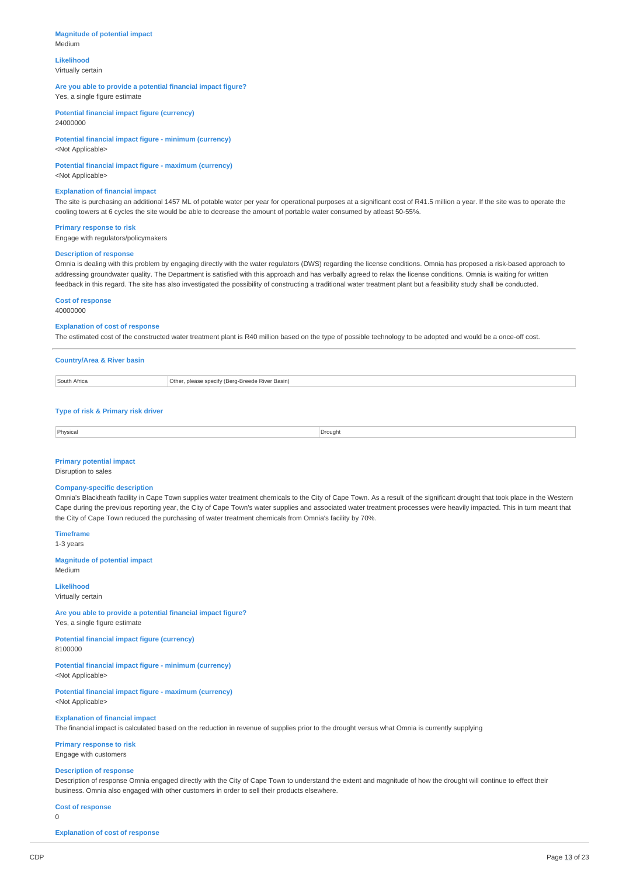### **Magnitude of potential impact** Medium

**Likelihood** Virtually certain

# **Are you able to provide a potential financial impact figure?**

Yes, a single figure estimate

**Potential financial impact figure (currency)** 24000000

**Potential financial impact figure - minimum (currency)** <Not Applicable>

## **Potential financial impact figure - maximum (currency)**

<Not Applicable>

#### **Explanation of financial impact**

The site is purchasing an additional 1457 ML of potable water per year for operational purposes at a significant cost of R41.5 million a year. If the site was to operate the cooling towers at 6 cycles the site would be able to decrease the amount of portable water consumed by atleast 50-55%.

### **Primary response to risk**

Engage with regulators/policymakers

### **Description of response**

Omnia is dealing with this problem by engaging directly with the water regulators (DWS) regarding the license conditions. Omnia has proposed a risk-based approach to addressing groundwater quality. The Department is satisfied with this approach and has verbally agreed to relax the license conditions. Omnia is waiting for written feedback in this regard. The site has also investigated the possibility of constructing a traditional water treatment plant but a feasibility study shall be conducted.

**Cost of response**

40000000

#### **Explanation of cost of response**

The estimated cost of the constructed water treatment plant is R40 million based on the type of possible technology to be adopted and would be a once-off cost.

# **Country/Area & River basin** South Africa **Other, please specify (Berg-Breede River Basin)**

### **Type of risk & Primary risk driver**

| Physica<br>- - - | )rouaht |
|------------------|---------|
|                  |         |

# **Primary potential impact**

Disruption to sales

### **Company-specific description**

Omnia's Blackheath facility in Cape Town supplies water treatment chemicals to the City of Cape Town. As a result of the significant drought that took place in the Western Cape during the previous reporting year, the City of Cape Town's water supplies and associated water treatment processes were heavily impacted. This in turn meant that the City of Cape Town reduced the purchasing of water treatment chemicals from Omnia's facility by 70%.

**Timeframe** 1-3 years

**Magnitude of potential impact** Medium

**Likelihood**

# Virtually certain

**Are you able to provide a potential financial impact figure?**

Yes, a single figure estimate

#### **Potential financial impact figure (currency)** 8100000

**Potential financial impact figure - minimum (currency)** <Not Applicable>

**Potential financial impact figure - maximum (currency)** <Not Applicable>

**Explanation of financial impact**

The financial impact is calculated based on the reduction in revenue of supplies prior to the drought versus what Omnia is currently supplying

**Primary response to risk** Engage with customers

### **Description of response**

Description of response Omnia engaged directly with the City of Cape Town to understand the extent and magnitude of how the drought will continue to effect their business. Omnia also engaged with other customers in order to sell their products elsewhere.

#### **Cost of response**

 $\theta$ 

**Explanation of cost of response**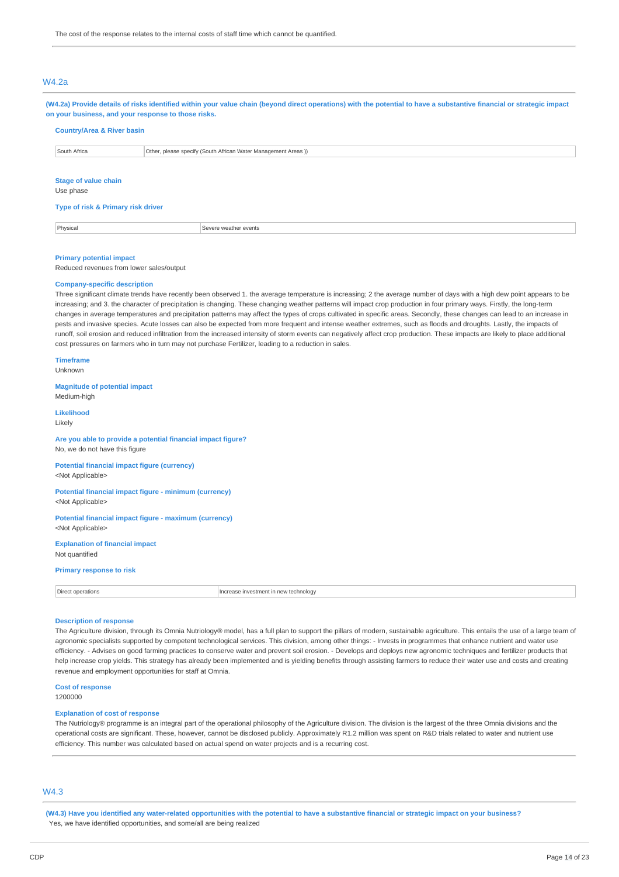# W4.2a

| (W4.2a) Provide details of risks identified within your value chain (beyond direct operations) with the potential to have a substantive financial or strategic impact<br>on your business, and your response to those risks. |                                                               |  |  |
|------------------------------------------------------------------------------------------------------------------------------------------------------------------------------------------------------------------------------|---------------------------------------------------------------|--|--|
| <b>Country/Area &amp; River basin</b>                                                                                                                                                                                        |                                                               |  |  |
| South Africa                                                                                                                                                                                                                 | Other, please specify (South African Water Management Areas)) |  |  |
| Stage of value chain<br>Use phase                                                                                                                                                                                            |                                                               |  |  |

### **Type of risk & Primary risk driver**

Physical Severe weather events

### **Primary potential impact**

Reduced revenues from lower sales/output

# **Company-specific description**

Three significant climate trends have recently been observed 1. the average temperature is increasing; 2 the average number of days with a high dew point appears to be increasing; and 3. the character of precipitation is changing. These changing weather patterns will impact crop production in four primary ways. Firstly, the long-term changes in average temperatures and precipitation patterns may affect the types of crops cultivated in specific areas. Secondly, these changes can lead to an increase in pests and invasive species. Acute losses can also be expected from more frequent and intense weather extremes, such as floods and droughts. Lastly, the impacts of runoff, soil erosion and reduced infiltration from the increased intensity of storm events can negatively affect crop production. These impacts are likely to place additional cost pressures on farmers who in turn may not purchase Fertilizer, leading to a reduction in sales.

### **Timeframe**

Unknown

**Magnitude of potential impact** Medium-high

### **Likelihood**

Likely

### **Are you able to provide a potential financial impact figure?** No, we do not have this figure

**Potential financial impact figure (currency)** <Not Applicable>

### **Potential financial impact figure - minimum (currency)** <Not Applicable>

**Potential financial impact figure - maximum (currency)** <Not Applicable>

**Explanation of financial impact** Not quantified

#### **Primary response to risk**

| Direct    | icrease investment in new technology |
|-----------|--------------------------------------|
| nerations | .                                    |
|           |                                      |

### **Description of response**

The Agriculture division, through its Omnia Nutriology® model, has a full plan to support the pillars of modern, sustainable agriculture. This entails the use of a large team of agronomic specialists supported by competent technological services. This division, among other things: - Invests in programmes that enhance nutrient and water use efficiency. - Advises on good farming practices to conserve water and prevent soil erosion. - Develops and deploys new agronomic techniques and fertilizer products that help increase crop yields. This strategy has already been implemented and is yielding benefits through assisting farmers to reduce their water use and costs and creating revenue and employment opportunities for staff at Omnia.

#### **Cost of response**

1200000

#### **Explanation of cost of response**

The Nutriology® programme is an integral part of the operational philosophy of the Agriculture division. The division is the largest of the three Omnia divisions and the operational costs are significant. These, however, cannot be disclosed publicly. Approximately R1.2 million was spent on R&D trials related to water and nutrient use efficiency. This number was calculated based on actual spend on water projects and is a recurring cost.

# W4.3

(W4.3) Have you identified any water-related opportunities with the potential to have a substantive financial or strategic impact on your business? Yes, we have identified opportunities, and some/all are being realized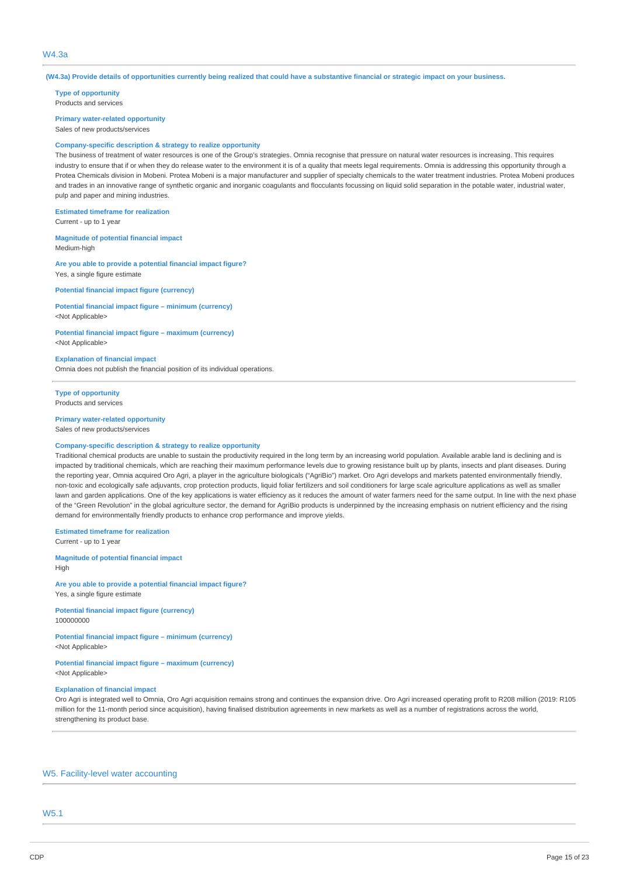### $MA$  3a

(W4.3a) Provide details of opportunities currently being realized that could have a substantive financial or strategic impact on your business.

**Type of opportunity** Products and services

**Primary water-related opportunity** Sales of new products/services

#### **Company-specific description & strategy to realize opportunity**

The business of treatment of water resources is one of the Group's strategies. Omnia recognise that pressure on natural water resources is increasing. This requires industry to ensure that if or when they do release water to the environment it is of a quality that meets legal requirements. Omnia is addressing this opportunity through a Protea Chemicals division in Mobeni. Protea Mobeni is a major manufacturer and supplier of specialty chemicals to the water treatment industries. Protea Mobeni produces and trades in an innovative range of synthetic organic and inorganic coagulants and flocculants focussing on liquid solid separation in the potable water, industrial water, pulp and paper and mining industries.

**Estimated timeframe for realization**

Current - up to 1 year

**Magnitude of potential financial impact** Medium-high

**Are you able to provide a potential financial impact figure?** Yes, a single figure estimate

**Potential financial impact figure (currency)**

# **Potential financial impact figure – minimum (currency)**

**Potential financial impact figure – maximum (currency)**

<Not Applicable>

<Not Applicable>

### **Explanation of financial impact**

Omnia does not publish the financial position of its individual operations.

**Type of opportunity** Products and services

### **Primary water-related opportunity** Sales of new products/services

#### **Company-specific description & strategy to realize opportunity**

Traditional chemical products are unable to sustain the productivity required in the long term by an increasing world population. Available arable land is declining and is impacted by traditional chemicals, which are reaching their maximum performance levels due to growing resistance built up by plants, insects and plant diseases. During the reporting year, Omnia acquired Oro Agri, a player in the agriculture biologicals ("AgriBio") market. Oro Agri develops and markets patented environmentally friendly, non-toxic and ecologically safe adjuvants, crop protection products, liquid foliar fertilizers and soil conditioners for large scale agriculture applications as well as smaller lawn and garden applications. One of the key applications is water efficiency as it reduces the amount of water farmers need for the same output. In line with the next phase of the "Green Revolution" in the global agriculture sector, the demand for AgriBio products is underpinned by the increasing emphasis on nutrient efficiency and the rising demand for environmentally friendly products to enhance crop performance and improve yields.

**Estimated timeframe for realization**

Current - up to 1 year

**Magnitude of potential financial impact** High

**Are you able to provide a potential financial impact figure?** Yes, a single figure estimate

**Potential financial impact figure (currency)** 100000000

**Potential financial impact figure – minimum (currency)** <Not Applicable>

**Potential financial impact figure – maximum (currency)** <Not Applicable>

### **Explanation of financial impact**

Oro Agri is integrated well to Omnia, Oro Agri acquisition remains strong and continues the expansion drive. Oro Agri increased operating profit to R208 million (2019: R105 million for the 11-month period since acquisition), having finalised distribution agreements in new markets as well as a number of registrations across the world, strengthening its product base.

### W5. Facility-level water accounting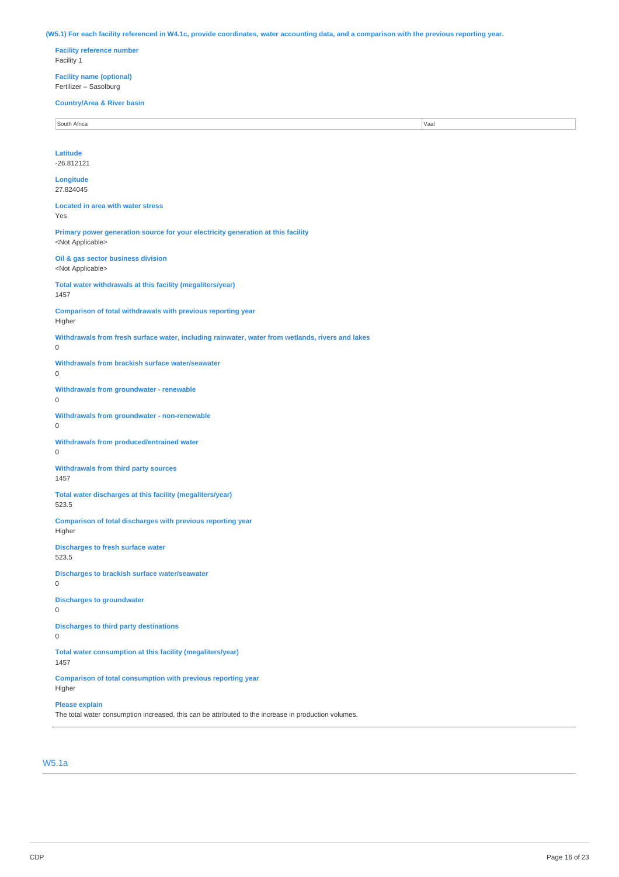(W5.1) For each facility referenced in W4.1c, provide coordinates, water accounting data, and a comparison with the previous reporting year.

**Facility reference number** Facility 1

**Facility name (optional)** Fertilizer – Sasolburg

#### **Country/Area & River basin**

South Africa **Vaal** 

# **Latitude** -26.812121

**Longitude** 27.824045

**Located in area with water stress** Yes

**Primary power generation source for your electricity generation at this facility** <Not Applicable>

**Oil & gas sector business division** <Not Applicable>

**Total water withdrawals at this facility (megaliters/year)** 1457

**Comparison of total withdrawals with previous reporting year** Higher

**Withdrawals from fresh surface water, including rainwater, water from wetlands, rivers and lakes** 0

**Withdrawals from brackish surface water/seawater**

**Withdrawals from groundwater - renewable**

 $\theta$ 

**Withdrawals from groundwater - non-renewable** 0

**Withdrawals from produced/entrained water**  $\Omega$ 

**Withdrawals from third party sources** 1457

**Total water discharges at this facility (megaliters/year)** 523.5

**Comparison of total discharges with previous reporting year** Higher

**Discharges to fresh surface water** 523.5

**Discharges to brackish surface water/seawater**  $\Omega$ 

**Discharges to groundwater** 0

 $\Omega$ 

**Discharges to third party destinations**

0

**Total water consumption at this facility (megaliters/year)**

1457

**Comparison of total consumption with previous reporting year** Higher

**Please explain**

The total water consumption increased, this can be attributed to the increase in production volumes.

# W5.1a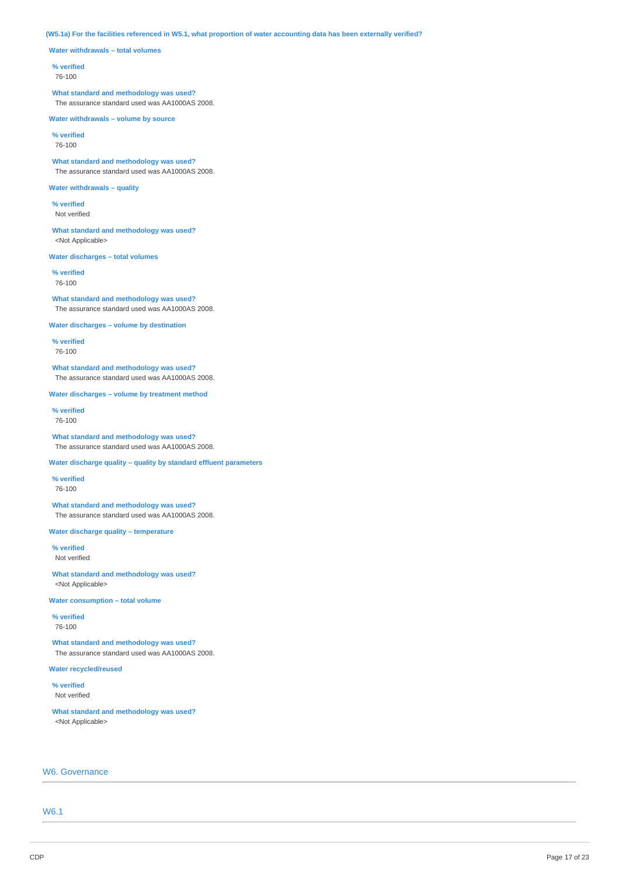(W5.1a) For the facilities referenced in W5.1, what proportion of water accounting data has been externally verified?

**Water withdrawals – total volumes**

### **% verified**

76-100

**What standard and methodology was used?** The assurance standard used was AA1000AS 2008.

**Water withdrawals – volume by source**

**% verified** 76-100

**What standard and methodology was used?** The assurance standard used was AA1000AS 2008.

### **Water withdrawals – quality**

**% verified** Not verified

**What standard and methodology was used?** <Not Applicable>

**Water discharges – total volumes**

**% verified** 76-100

**What standard and methodology was used?** The assurance standard used was AA1000AS 2008.

**Water discharges – volume by destination**

**% verified** 76-100

**What standard and methodology was used?** The assurance standard used was AA1000AS 2008.

**Water discharges – volume by treatment method**

**% verified** 76-100

**What standard and methodology was used?** The assurance standard used was AA1000AS 2008.

**Water discharge quality – quality by standard effluent parameters**

**% verified** 76-100

**What standard and methodology was used?** The assurance standard used was AA1000AS 2008.

**Water discharge quality – temperature**

**% verified** Not verified

**What standard and methodology was used?** <Not Applicable>

**Water consumption – total volume**

**% verified** 76-100

**What standard and methodology was used?** The assurance standard used was AA1000AS 2008.

**Water recycled/reused**

**% verified** Not verified

**What standard and methodology was used?** <Not Applicable>

# W6. Governance

W6.1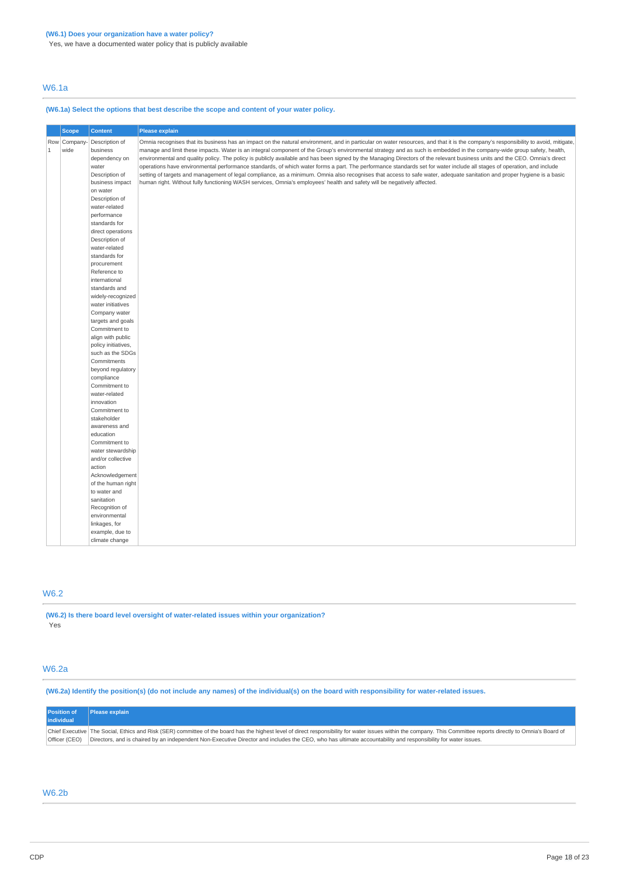Yes, we have a documented water policy that is publicly available

# W6.1a

# **(W6.1a) Select the options that best describe the scope and content of your water policy.**

|              | <b>Scope</b>   | <b>Content</b>               | Please explain                                                                                                                                                                     |
|--------------|----------------|------------------------------|------------------------------------------------------------------------------------------------------------------------------------------------------------------------------------|
|              | Row   Company- | Description of               | Omnia recognises that its business has an impact on the natural environment, and in particular on water resources, and that it is the company's responsibility to avoid, mitigate, |
| $\mathbf{1}$ | wide           | business                     | manage and limit these impacts. Water is an integral component of the Group's environmental strategy and as such is embedded in the company-wide group safety, health,             |
|              |                | dependency on                | environmental and quality policy. The policy is publicly available and has been signed by the Managing Directors of the relevant business units and the CEO. Omnia's direct        |
|              |                | water                        | operations have environmental performance standards, of which water forms a part. The performance standards set for water include all stages of operation, and include             |
|              |                | Description of               | setting of targets and management of legal compliance, as a minimum. Omnia also recognises that access to safe water, adequate sanitation and proper hygiene is a basic            |
|              |                | business impact              | human right. Without fully functioning WASH services, Omnia's employees' health and safety will be negatively affected.                                                            |
|              |                | on water                     |                                                                                                                                                                                    |
|              |                | Description of               |                                                                                                                                                                                    |
|              |                | water-related                |                                                                                                                                                                                    |
|              |                | performance                  |                                                                                                                                                                                    |
|              |                | standards for                |                                                                                                                                                                                    |
|              |                | direct operations            |                                                                                                                                                                                    |
|              |                | Description of               |                                                                                                                                                                                    |
|              |                | water-related                |                                                                                                                                                                                    |
|              |                | standards for                |                                                                                                                                                                                    |
|              |                | procurement                  |                                                                                                                                                                                    |
|              |                | Reference to                 |                                                                                                                                                                                    |
|              |                | international                |                                                                                                                                                                                    |
|              |                | standards and                |                                                                                                                                                                                    |
|              |                | widely-recognized            |                                                                                                                                                                                    |
|              |                | water initiatives            |                                                                                                                                                                                    |
|              |                | Company water                |                                                                                                                                                                                    |
|              |                | targets and goals            |                                                                                                                                                                                    |
|              |                | Commitment to                |                                                                                                                                                                                    |
|              |                | align with public            |                                                                                                                                                                                    |
|              |                | policy initiatives,          |                                                                                                                                                                                    |
|              |                | such as the SDGs             |                                                                                                                                                                                    |
|              |                | Commitments                  |                                                                                                                                                                                    |
|              |                | beyond regulatory            |                                                                                                                                                                                    |
|              |                | compliance                   |                                                                                                                                                                                    |
|              |                | Commitment to                |                                                                                                                                                                                    |
|              |                | water-related                |                                                                                                                                                                                    |
|              |                | innovation                   |                                                                                                                                                                                    |
|              |                | Commitment to                |                                                                                                                                                                                    |
|              |                | stakeholder<br>awareness and |                                                                                                                                                                                    |
|              |                | education                    |                                                                                                                                                                                    |
|              |                | Commitment to                |                                                                                                                                                                                    |
|              |                | water stewardship            |                                                                                                                                                                                    |
|              |                | and/or collective            |                                                                                                                                                                                    |
|              |                | action                       |                                                                                                                                                                                    |
|              |                | Acknowledgement              |                                                                                                                                                                                    |
|              |                | of the human right           |                                                                                                                                                                                    |
|              |                | to water and                 |                                                                                                                                                                                    |
|              |                | sanitation                   |                                                                                                                                                                                    |
|              |                | Recognition of               |                                                                                                                                                                                    |
|              |                | environmental                |                                                                                                                                                                                    |
|              |                | linkages, for                |                                                                                                                                                                                    |
|              |                | example, due to              |                                                                                                                                                                                    |
|              |                | climate change               |                                                                                                                                                                                    |

# W6.2

### **(W6.2) Is there board level oversight of water-related issues within your organization?** Yes

# W6.2a

(W6.2a) Identify the position(s) (do not include any names) of the individual(s) on the board with responsibility for water-related issues.

| <b>Position of</b><br>individual | <b>Please explain</b>                                                                                                                                                                                                                                                                                                                                                               |
|----------------------------------|-------------------------------------------------------------------------------------------------------------------------------------------------------------------------------------------------------------------------------------------------------------------------------------------------------------------------------------------------------------------------------------|
| Officer (CEO)                    | Chief Executive   The Social, Ethics and Risk (SER) committee of the board has the highest level of direct responsibility for water issues within the company. This Committee reports directly to Omnia's Board of<br>Directors, and is chaired by an independent Non-Executive Director and includes the CEO, who has ultimate accountability and responsibility for water issues. |

# W6.2b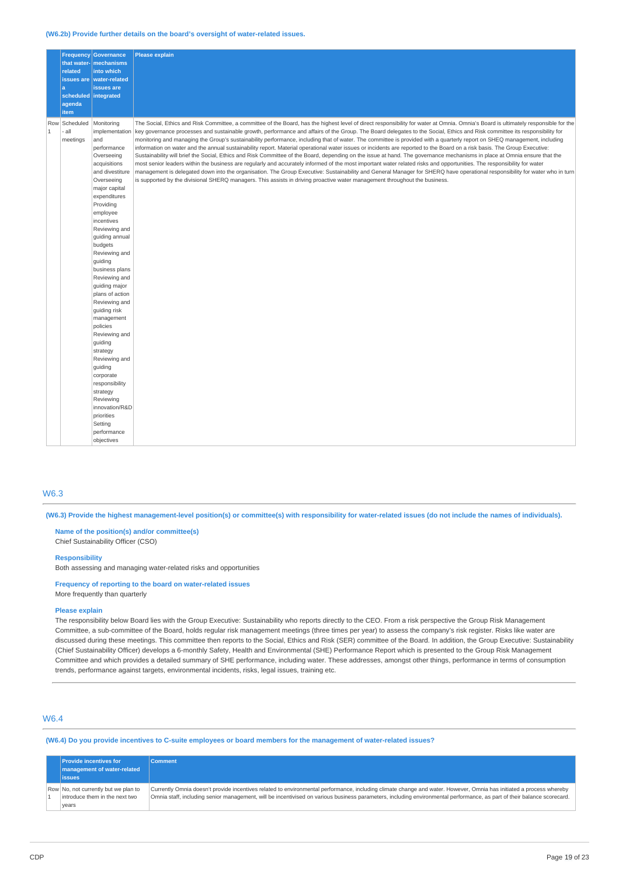#### **(W6.2b) Provide further details on the board's oversight of water-related issues.**

|              |                                  | <b>Frequency Governance</b><br>that water- mechanisms                                                                                                                                                                                                                                                                                                                                                                                                                                                                                                                        | <b>Please explain</b>                                                                                                                                                                                                                                                                                                                                                                                                                                                                                                                                                                                                                                                                                                                                                                                                                                                                                                                                                                                                                                                                                                                                                                                                                                                                                                                                                                           |
|--------------|----------------------------------|------------------------------------------------------------------------------------------------------------------------------------------------------------------------------------------------------------------------------------------------------------------------------------------------------------------------------------------------------------------------------------------------------------------------------------------------------------------------------------------------------------------------------------------------------------------------------|-------------------------------------------------------------------------------------------------------------------------------------------------------------------------------------------------------------------------------------------------------------------------------------------------------------------------------------------------------------------------------------------------------------------------------------------------------------------------------------------------------------------------------------------------------------------------------------------------------------------------------------------------------------------------------------------------------------------------------------------------------------------------------------------------------------------------------------------------------------------------------------------------------------------------------------------------------------------------------------------------------------------------------------------------------------------------------------------------------------------------------------------------------------------------------------------------------------------------------------------------------------------------------------------------------------------------------------------------------------------------------------------------|
|              | related                          | into which                                                                                                                                                                                                                                                                                                                                                                                                                                                                                                                                                                   |                                                                                                                                                                                                                                                                                                                                                                                                                                                                                                                                                                                                                                                                                                                                                                                                                                                                                                                                                                                                                                                                                                                                                                                                                                                                                                                                                                                                 |
|              | l a                              | issues are   water-related<br>issues are                                                                                                                                                                                                                                                                                                                                                                                                                                                                                                                                     |                                                                                                                                                                                                                                                                                                                                                                                                                                                                                                                                                                                                                                                                                                                                                                                                                                                                                                                                                                                                                                                                                                                                                                                                                                                                                                                                                                                                 |
|              | scheduled integrated             |                                                                                                                                                                                                                                                                                                                                                                                                                                                                                                                                                                              |                                                                                                                                                                                                                                                                                                                                                                                                                                                                                                                                                                                                                                                                                                                                                                                                                                                                                                                                                                                                                                                                                                                                                                                                                                                                                                                                                                                                 |
|              | agenda<br><b>item</b>            |                                                                                                                                                                                                                                                                                                                                                                                                                                                                                                                                                                              |                                                                                                                                                                                                                                                                                                                                                                                                                                                                                                                                                                                                                                                                                                                                                                                                                                                                                                                                                                                                                                                                                                                                                                                                                                                                                                                                                                                                 |
| $\mathbf{1}$ | Row Scheduled<br>all<br>meetings | Monitoring<br>implementation<br>and<br>performance<br>Overseeing<br>acquisitions<br>and divestiture<br>Overseeing<br>major capital<br>expenditures<br>Providing<br>employee<br>incentives<br>Reviewing and<br>guiding annual<br>budgets<br>Reviewing and<br>quiding<br>business plans<br>Reviewing and<br>guiding major<br>plans of action<br>Reviewing and<br>quiding risk<br>management<br>policies<br>Reviewing and<br>guiding<br>strategy<br>Reviewing and<br>guiding<br>corporate<br>responsibility<br>strategy<br>Reviewing<br>innovation/R&D<br>priorities<br>Setting | The Social, Ethics and Risk Committee, a committee of the Board, has the highest level of direct responsibility for water at Omnia. Omnia's Board is ultimately responsible for the<br>key governance processes and sustainable growth, performance and affairs of the Group. The Board delegates to the Social, Ethics and Risk committee its responsibility for<br>monitoring and managing the Group's sustainability performance, including that of water. The committee is provided with a quarterly report on SHEQ management, including<br>information on water and the annual sustainability report. Material operational water issues or incidents are reported to the Board on a risk basis. The Group Executive:<br>Sustainability will brief the Social, Ethics and Risk Committee of the Board, depending on the issue at hand. The governance mechanisms in place at Omnia ensure that the<br>most senior leaders within the business are regularly and accurately informed of the most important water related risks and opportunities. The responsibility for water<br>management is delegated down into the organisation. The Group Executive: Sustainability and General Manager for SHERO have operational responsibility for water who in turn<br>is supported by the divisional SHERQ managers. This assists in driving proactive water management throughout the business. |
|              |                                  | performance<br>objectives                                                                                                                                                                                                                                                                                                                                                                                                                                                                                                                                                    |                                                                                                                                                                                                                                                                                                                                                                                                                                                                                                                                                                                                                                                                                                                                                                                                                                                                                                                                                                                                                                                                                                                                                                                                                                                                                                                                                                                                 |

### W6.3

(W6.3) Provide the highest management-level position(s) or committee(s) with responsibility for water-related issues (do not include the names of individuals).

**Name of the position(s) and/or committee(s)** Chief Sustainability Officer (CSO)

### **Responsibility**

Both assessing and managing water-related risks and opportunities

### **Frequency of reporting to the board on water-related issues** More frequently than quarterly

### **Please explain**

The responsibility below Board lies with the Group Executive: Sustainability who reports directly to the CEO. From a risk perspective the Group Risk Management Committee, a sub-committee of the Board, holds regular risk management meetings (three times per year) to assess the company's risk register. Risks like water are discussed during these meetings. This committee then reports to the Social, Ethics and Risk (SER) committee of the Board. In addition, the Group Executive: Sustainability (Chief Sustainability Officer) develops a 6-monthly Safety, Health and Environmental (SHE) Performance Report which is presented to the Group Risk Management Committee and which provides a detailed summary of SHE performance, including water. These addresses, amongst other things, performance in terms of consumption trends, performance against targets, environmental incidents, risks, legal issues, training etc.

# W6.4

## (W6.4) Do you provide incentives to C-suite employees or board members for the management of water-related issues?

| <b>Provide incentives for</b><br>  management of water-related<br>l issues      | <b>Comment</b>                                                                                                                                                                                                                                                                                                                                 |
|---------------------------------------------------------------------------------|------------------------------------------------------------------------------------------------------------------------------------------------------------------------------------------------------------------------------------------------------------------------------------------------------------------------------------------------|
| Row No, not currently but we plan to<br>introduce them in the next two<br>vears | Currently Omnia doesn't provide incentives related to environmental performance, including climate change and water. However, Omnia has initiated a process whereby<br>Omnia staff, including senior management, will be incentivised on various business parameters, including environmental performance, as part of their balance scorecard. |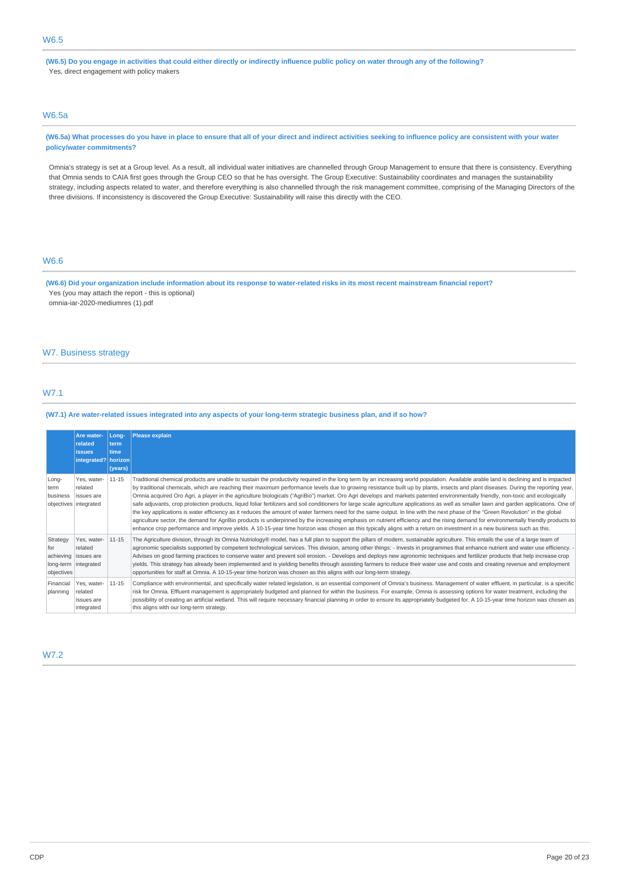(W6.5) Do you engage in activities that could either directly or indirectly influence public policy on water through any of the following? Yes, direct engagement with policy makers

# W6.5a

(W6.5a) What processes do you have in place to ensure that all of your direct and indirect activities seeking to influence policy are consistent with your water **policy/water commitments?**

Omnia's strategy is set at a Group level. As a result, all individual water initiatives are channelled through Group Management to ensure that there is consistency. Everything that Omnia sends to CAIA first goes through the Group CEO so that he has oversight. The Group Executive: Sustainability coordinates and manages the sustainability strategy, including aspects related to water, and therefore everything is also channelled through the risk management committee, comprising of the Managing Directors of the three divisions. If inconsistency is discovered the Group Executive: Sustainability will raise this directly with the CEO.

# W6.6

(W6.6) Did your organization include information about its response to water-related risks in its most recent mainstream financial report? Yes (you may attach the report - this is optional) omnia-iar-2020-mediumres (1).pdf

### W7. Business strategy

# W7.1

### (W7.1) Are water-related issues integrated into any aspects of your long-term strategic business plan, and if so how?

|                               | Are water-<br>related<br><b>issues</b><br>integrated?   horizon        | $Long-$<br>term<br>time<br>(years) | Please explain                                                                                                                                                                                                                                                                                                                                                                                                                                                                                                                                                                                                                                                                                                                                                                                                                                                                                                                                                                                                                                                                                                                                                                                                                                                                                                    |
|-------------------------------|------------------------------------------------------------------------|------------------------------------|-------------------------------------------------------------------------------------------------------------------------------------------------------------------------------------------------------------------------------------------------------------------------------------------------------------------------------------------------------------------------------------------------------------------------------------------------------------------------------------------------------------------------------------------------------------------------------------------------------------------------------------------------------------------------------------------------------------------------------------------------------------------------------------------------------------------------------------------------------------------------------------------------------------------------------------------------------------------------------------------------------------------------------------------------------------------------------------------------------------------------------------------------------------------------------------------------------------------------------------------------------------------------------------------------------------------|
| Long-<br>term<br>business     | Yes, water-<br>related<br><b>issues</b> are<br>objectives integrated   | $11 - 15$                          | Traditional chemical products are unable to sustain the productivity required in the long term by an increasing world population. Available arable land is declining and is impacted<br>by traditional chemicals, which are reaching their maximum performance levels due to growing resistance built up by plants, insects and plant diseases. During the reporting year,<br>Omnia acquired Oro Agri, a player in the agriculture biologicals ("AgriBio") market. Oro Agri develops and markets patented environmentally friendly, non-toxic and ecologically<br>safe adjuvants, crop protection products, liquid foliar fertilizers and soil conditioners for large scale agriculture applications as well as smaller lawn and garden applications. One of<br>the key applications is water efficiency as it reduces the amount of water farmers need for the same output. In line with the next phase of the "Green Revolution" in the global<br>agriculture sector, the demand for AgriBio products is underpinned by the increasing emphasis on nutrient efficiency and the rising demand for environmentally friendly products to<br>enhance crop performance and improve yields. A 10-15-year time horizon was chosen as this typically aligns with a return on investment in a new business such as this. |
| Strategy<br>for<br>objectives | Yes, water-<br>related<br>achieving issues are<br>long-term integrated | 11-15                              | The Agriculture division, through its Omnia Nutriology® model, has a full plan to support the pillars of modern, sustainable agriculture. This entails the use of a large team of<br>agronomic specialists supported by competent technological services. This division, among other things: - Invests in programmes that enhance nutrient and water use efficiency. -<br>Advises on good farming practices to conserve water and prevent soil erosion. - Develops and deploys new agronomic techniques and fertilizer products that help increase crop<br>yields. This strategy has already been implemented and is yielding benefits through assisting farmers to reduce their water use and costs and creating revenue and employment<br>opportunities for staff at Omnia. A 10-15-year time horizon was chosen as this aligns with our long-term strategy.                                                                                                                                                                                                                                                                                                                                                                                                                                                    |
| Financial<br>planning         | Yes, water-<br>related<br>issues are<br>integrated                     | 11-15                              | Compliance with environmental, and specifically water related legislation, is an essential component of Omnia's business. Management of water effluent, in particular, is a specific<br>risk for Omnia. Effluent management is appropriately budgeted and planned for within the business. For example, Omnia is assessing options for water treatment, including the<br>possibility of creating an artificial wetland. This will require necessary financial planning in order to ensure its appropriately budgeted for. A 10-15-year time horizon was chosen as<br>this aligns with our long-term strategy.                                                                                                                                                                                                                                                                                                                                                                                                                                                                                                                                                                                                                                                                                                     |

# W7.2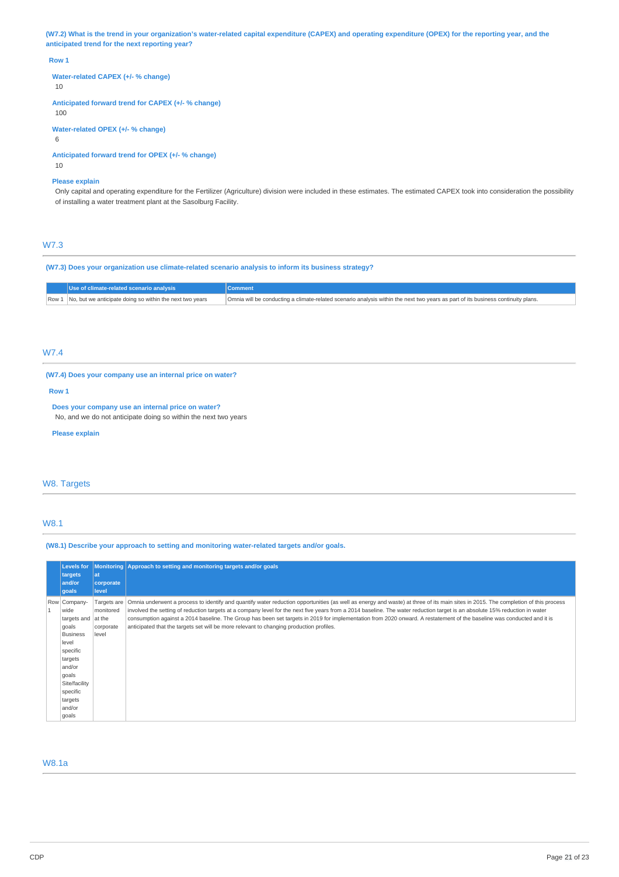(W7.2) What is the trend in your organization's water-related capital expenditure (CAPEX) and operating expenditure (OPEX) for the reporting year, and the **anticipated trend for the next reporting year?**

#### **Row 1**

**Water-related CAPEX (+/- % change)**

10

**Anticipated forward trend for CAPEX (+/- % change)**

100

**Water-related OPEX (+/- % change)**

6

**Anticipated forward trend for OPEX (+/- % change)** 10

# **Please explain**

Only capital and operating expenditure for the Fertilizer (Agriculture) division were included in these estimates. The estimated CAPEX took into consideration the possibility of installing a water treatment plant at the Sasolburg Facility.

# W7.3

**(W7.3) Does your organization use climate-related scenario analysis to inform its business strategy?**

| Use of climate-related scenario analysis                       | Comment                                                                                                                          |
|----------------------------------------------------------------|----------------------------------------------------------------------------------------------------------------------------------|
| Row 1 No, but we anticipate doing so within the next two years | Omnia will be conducting a climate-related scenario analysis within the next two years as part of its business continuity plans. |

# W7.4

**(W7.4) Does your company use an internal price on water?**

**Row 1**

**Does your company use an internal price on water?** No, and we do not anticipate doing so within the next two years

**Please explain**

# W8. Targets

## W8.1

**(W8.1) Describe your approach to setting and monitoring water-related targets and/or goals.**

| <b>Levels for</b><br>targets<br>and/or<br>goals                                                                                                                                          | l at<br>corporate<br>level                     | Monitoring Approach to setting and monitoring targets and/or goals                                                                                                                                                                                                                                                                                                                                                                                                                                                                                                                                                                    |
|------------------------------------------------------------------------------------------------------------------------------------------------------------------------------------------|------------------------------------------------|---------------------------------------------------------------------------------------------------------------------------------------------------------------------------------------------------------------------------------------------------------------------------------------------------------------------------------------------------------------------------------------------------------------------------------------------------------------------------------------------------------------------------------------------------------------------------------------------------------------------------------------|
| Row Company-<br>wide<br>targets and $ $ at the<br>goals<br><b>Business</b><br>level<br>specific<br>targets<br>and/or<br>goals<br>Site/facility<br>specific<br>targets<br>and/or<br>goals | Targets are<br>monitored<br>corporate<br>level | Omnia underwent a process to identify and quantify water reduction opportunities (as well as energy and waste) at three of its main sites in 2015. The completion of this process<br>involved the setting of reduction targets at a company level for the next five years from a 2014 baseline. The water reduction target is an absolute 15% reduction in water<br>consumption against a 2014 baseline. The Group has been set targets in 2019 for implementation from 2020 onward. A restatement of the baseline was conducted and it is<br>anticipated that the targets set will be more relevant to changing production profiles. |

# W8.1a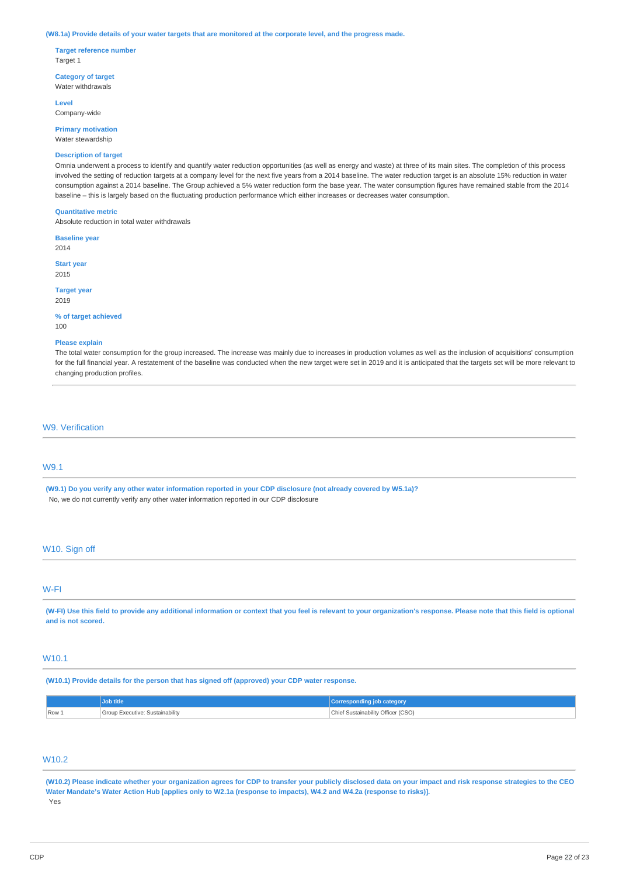#### (W8.1a) Provide details of your water targets that are monitored at the corporate level, and the progress made.

**Target reference number** Target 1

**Category of target** Water withdrawals

**Level** Company-wide

**Primary motivation** Water stewardship

### **Description of target**

Omnia underwent a process to identify and quantify water reduction opportunities (as well as energy and waste) at three of its main sites. The completion of this process involved the setting of reduction targets at a company level for the next five years from a 2014 baseline. The water reduction target is an absolute 15% reduction in water consumption against a 2014 baseline. The Group achieved a 5% water reduction form the base year. The water consumption figures have remained stable from the 2014 baseline – this is largely based on the fluctuating production performance which either increases or decreases water consumption.

#### **Quantitative metric**

Absolute reduction in total water withdrawals

**Baseline year** 2014

**Start year** 2015

**Target year** 2019

**% of target achieved**  $100$ 

#### **Please explain**

The total water consumption for the group increased. The increase was mainly due to increases in production volumes as well as the inclusion of acquisitions' consumption for the full financial year. A restatement of the baseline was conducted when the new target were set in 2019 and it is anticipated that the targets set will be more relevant to changing production profiles.

# W9. Verification

### W9.1

(W9.1) Do you verify any other water information reported in your CDP disclosure (not already covered by W5.1a)? No, we do not currently verify any other water information reported in our CDP disclosure

### W10. Sign off

# W-FI

(W-FI) Use this field to provide any additional information or context that you feel is relevant to your organization's response. Please note that this field is optional **and is not scored.**

# W10.1

**(W10.1) Provide details for the person that has signed off (approved) your CDP water response.**

|           | Job title                       | Corresponding job category         |
|-----------|---------------------------------|------------------------------------|
| $  Row_1$ | Group Executive: Sustainability | Chief Sustainability Officer (CSO) |

# W10.2

(W10.2) Please indicate whether your organization agrees for CDP to transfer your publicly disclosed data on your impact and risk response strategies to the CEO Water Mandate's Water Action Hub [applies only to W2.1a (response to impacts), W4.2 and W4.2a (response to risks)]. Yes